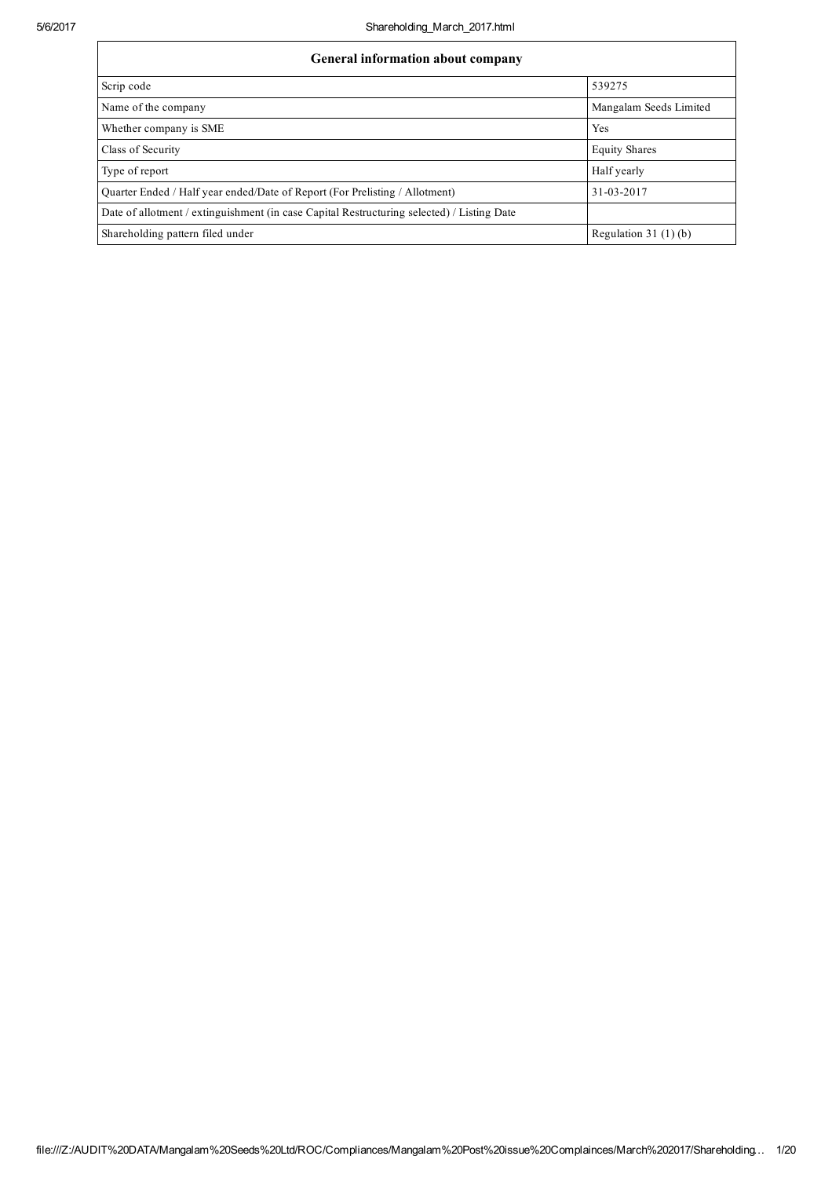| <b>General information about company</b>                                                   |                        |
|--------------------------------------------------------------------------------------------|------------------------|
| Scrip code                                                                                 | 539275                 |
| Name of the company                                                                        | Mangalam Seeds Limited |
| Whether company is SME                                                                     | Yes                    |
| <b>Class of Security</b>                                                                   | <b>Equity Shares</b>   |
| Type of report                                                                             | Half yearly            |
| Ouarter Ended / Half year ended/Date of Report (For Prelisting / Allotment)                | 31-03-2017             |
| Date of allotment / extinguishment (in case Capital Restructuring selected) / Listing Date |                        |
| Shareholding pattern filed under                                                           | Regulation $31(1)(b)$  |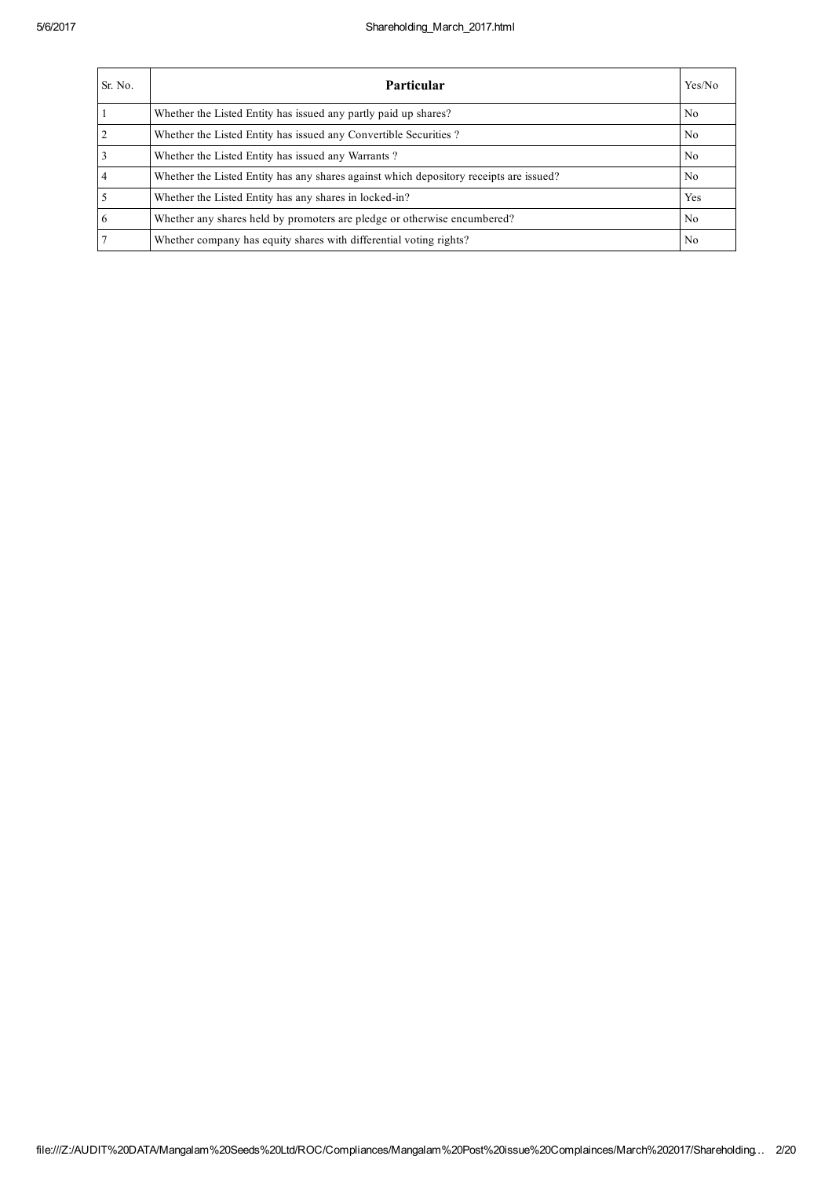| Sr. No. | <b>Particular</b>                                                                      | Yes/No         |
|---------|----------------------------------------------------------------------------------------|----------------|
|         | Whether the Listed Entity has issued any partly paid up shares?                        | N <sub>0</sub> |
|         | Whether the Listed Entity has issued any Convertible Securities?                       | N <sub>0</sub> |
|         | Whether the Listed Entity has issued any Warrants?                                     | N <sub>0</sub> |
|         | Whether the Listed Entity has any shares against which depository receipts are issued? | N <sub>0</sub> |
|         | Whether the Listed Entity has any shares in locked-in?                                 | Yes            |
|         | Whether any shares held by promoters are pledge or otherwise encumbered?               | N <sub>0</sub> |
|         | Whether company has equity shares with differential voting rights?                     | No             |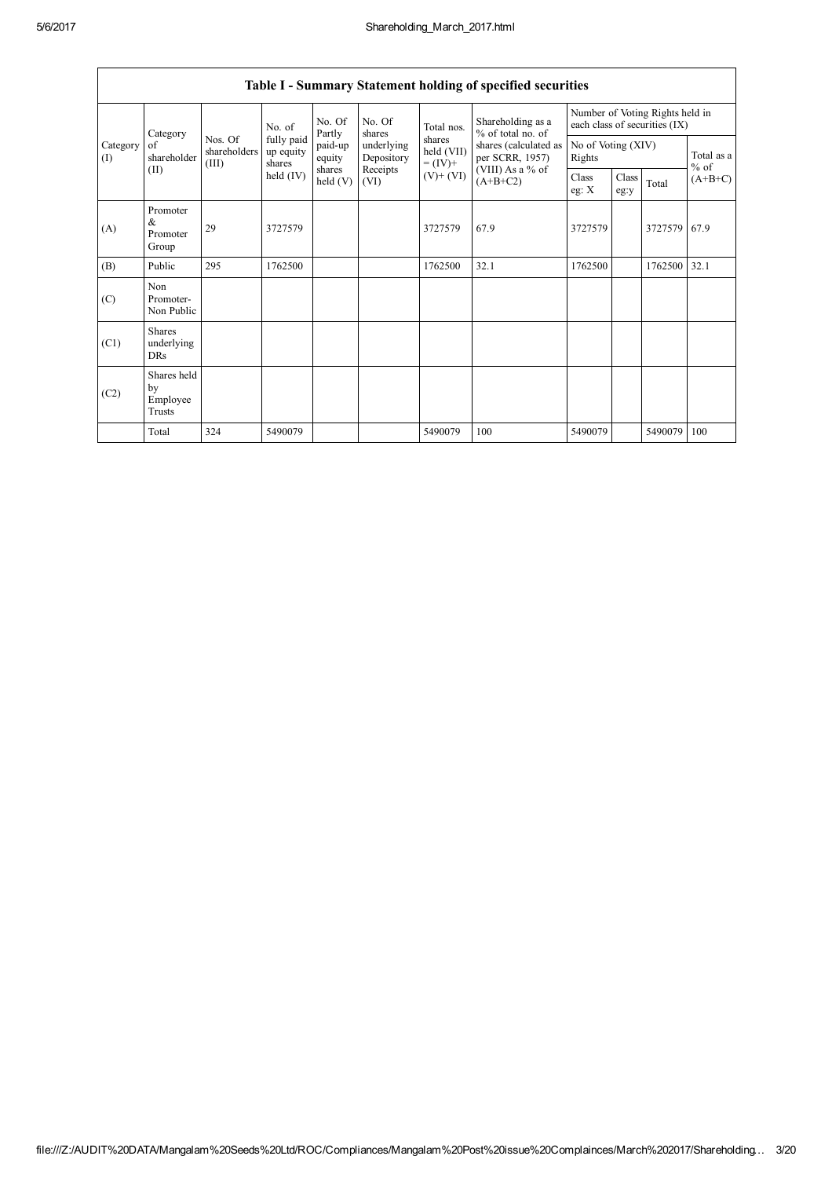|                 |                                           |                                  |                                             |                      |                          |                                    | Table I - Summary Statement holding of specified securities                |                                                                  |               |         |                      |
|-----------------|-------------------------------------------|----------------------------------|---------------------------------------------|----------------------|--------------------------|------------------------------------|----------------------------------------------------------------------------|------------------------------------------------------------------|---------------|---------|----------------------|
|                 | Category<br>of<br>shareholder<br>(II)     |                                  | No. of<br>fully paid<br>up equity<br>shares | No. Of<br>Partly     | No. Of<br>shares         | Total nos.                         | Shareholding as a<br>% of total no. of                                     | Number of Voting Rights held in<br>each class of securities (IX) |               |         |                      |
| Category<br>(I) |                                           | Nos. Of<br>shareholders<br>(III) |                                             | paid-up<br>equity    | underlying<br>Depository | shares<br>held (VII)<br>$= (IV) +$ | shares (calculated as<br>per SCRR, 1957)<br>(VIII) As a % of<br>$(A+B+C2)$ | No of Voting (XIV)<br>Rights                                     |               |         | Total as a<br>$%$ of |
|                 |                                           |                                  | held (IV)                                   | shares<br>held $(V)$ | Receipts<br>(VI)         | $(V)$ + $(VI)$                     |                                                                            | Class<br>eg: $\mathbf{X}$                                        | Class<br>eg:y | Total   | $(A+B+C)$            |
| (A)             | Promoter<br>&<br>Promoter<br>Group        | 29                               | 3727579                                     |                      |                          | 3727579                            | 67.9                                                                       | 3727579                                                          |               | 3727579 | 67.9                 |
| (B)             | Public                                    | 295                              | 1762500                                     |                      |                          | 1762500                            | 32.1                                                                       | 1762500                                                          |               | 1762500 | 32.1                 |
| (C)             | Non<br>Promoter-<br>Non Public            |                                  |                                             |                      |                          |                                    |                                                                            |                                                                  |               |         |                      |
| (C1)            | <b>Shares</b><br>underlying<br><b>DRs</b> |                                  |                                             |                      |                          |                                    |                                                                            |                                                                  |               |         |                      |
| (C2)            | Shares held<br>by<br>Employee<br>Trusts   |                                  |                                             |                      |                          |                                    |                                                                            |                                                                  |               |         |                      |
|                 | Total                                     | 324                              | 5490079                                     |                      |                          | 5490079                            | 100                                                                        | 5490079                                                          |               | 5490079 | 100                  |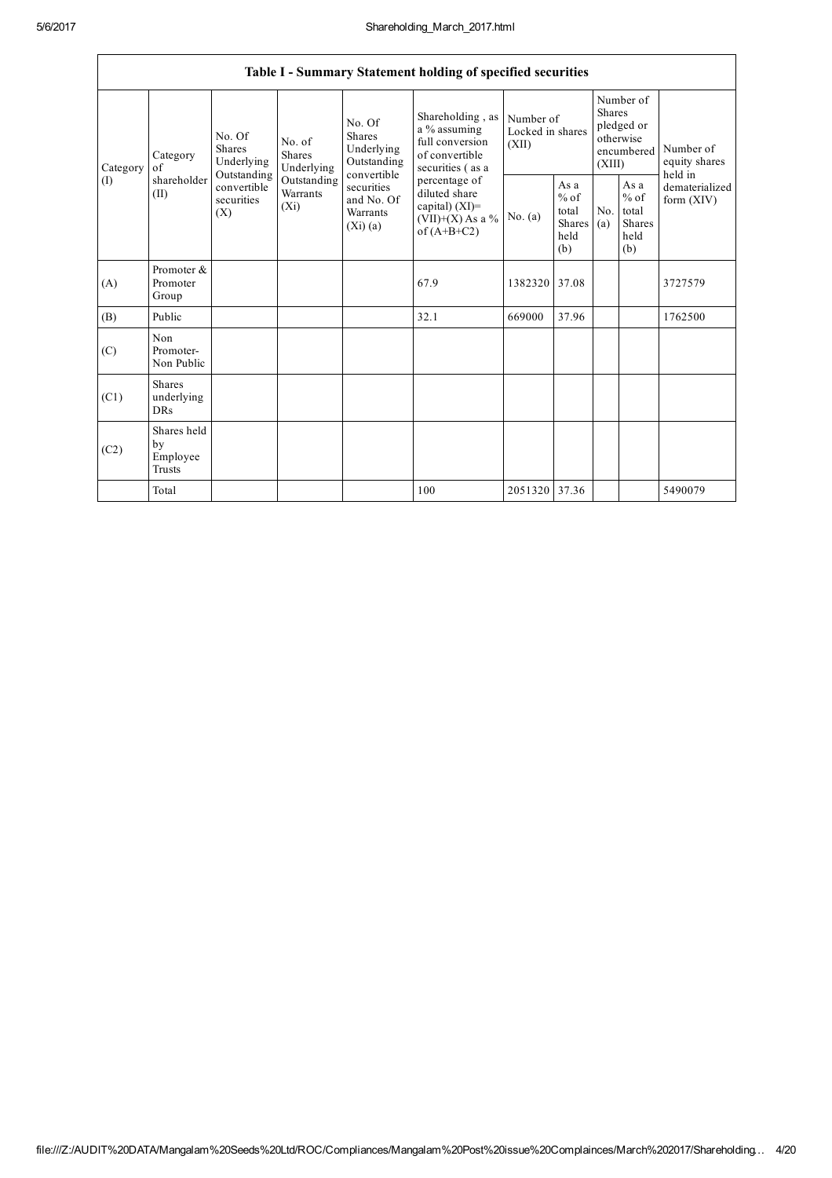|                 |                                           |                                               |                                    |                                                              | Table I - Summary Statement holding of specified securities                                |                                        |                                                  |                                                                               |                                                   |                                       |
|-----------------|-------------------------------------------|-----------------------------------------------|------------------------------------|--------------------------------------------------------------|--------------------------------------------------------------------------------------------|----------------------------------------|--------------------------------------------------|-------------------------------------------------------------------------------|---------------------------------------------------|---------------------------------------|
| Category<br>(I) | Category<br>$\alpha$ f                    | No. Of<br>Shares<br>Underlying<br>Outstanding |                                    | No. Of<br>Shares<br>Underlying<br>Outstanding<br>convertible | Shareholding, as<br>a % assuming<br>full conversion<br>of convertible<br>securities (as a  | Number of<br>Locked in shares<br>(XII) |                                                  | Number of<br><b>Shares</b><br>pledged or<br>otherwise<br>encumbered<br>(XIII) |                                                   | Number of<br>equity shares<br>held in |
|                 | shareholder<br>(II)                       | convertible<br>securities<br>(X)              | Outstanding<br>Warrants<br>$(X_i)$ | securities<br>and No. Of<br>Warrants<br>(Xi)(a)              | percentage of<br>diluted share<br>capital) $(XI)$ =<br>$(VII)+(X)$ As a %<br>of $(A+B+C2)$ | No. (a)                                | As a<br>$%$ of<br>total<br>Shares<br>held<br>(b) | No.<br>(a)                                                                    | As a<br>$\%$ of<br>total<br>Shares<br>held<br>(b) | dematerialized<br>form $(XIV)$        |
| (A)             | Promoter &<br>Promoter<br>Group           |                                               |                                    |                                                              | 67.9                                                                                       | 1382320                                | 37.08                                            |                                                                               |                                                   | 3727579                               |
| (B)             | Public                                    |                                               |                                    |                                                              | 32.1                                                                                       | 669000                                 | 37.96                                            |                                                                               |                                                   | 1762500                               |
| (C)             | Non<br>Promoter-<br>Non Public            |                                               |                                    |                                                              |                                                                                            |                                        |                                                  |                                                                               |                                                   |                                       |
| (C1)            | <b>Shares</b><br>underlying<br><b>DRs</b> |                                               |                                    |                                                              |                                                                                            |                                        |                                                  |                                                                               |                                                   |                                       |
| (C2)            | Shares held<br>by<br>Employee<br>Trusts   |                                               |                                    |                                                              |                                                                                            |                                        |                                                  |                                                                               |                                                   |                                       |
|                 | Total                                     |                                               |                                    |                                                              | 100                                                                                        | 2051320 37.36                          |                                                  |                                                                               |                                                   | 5490079                               |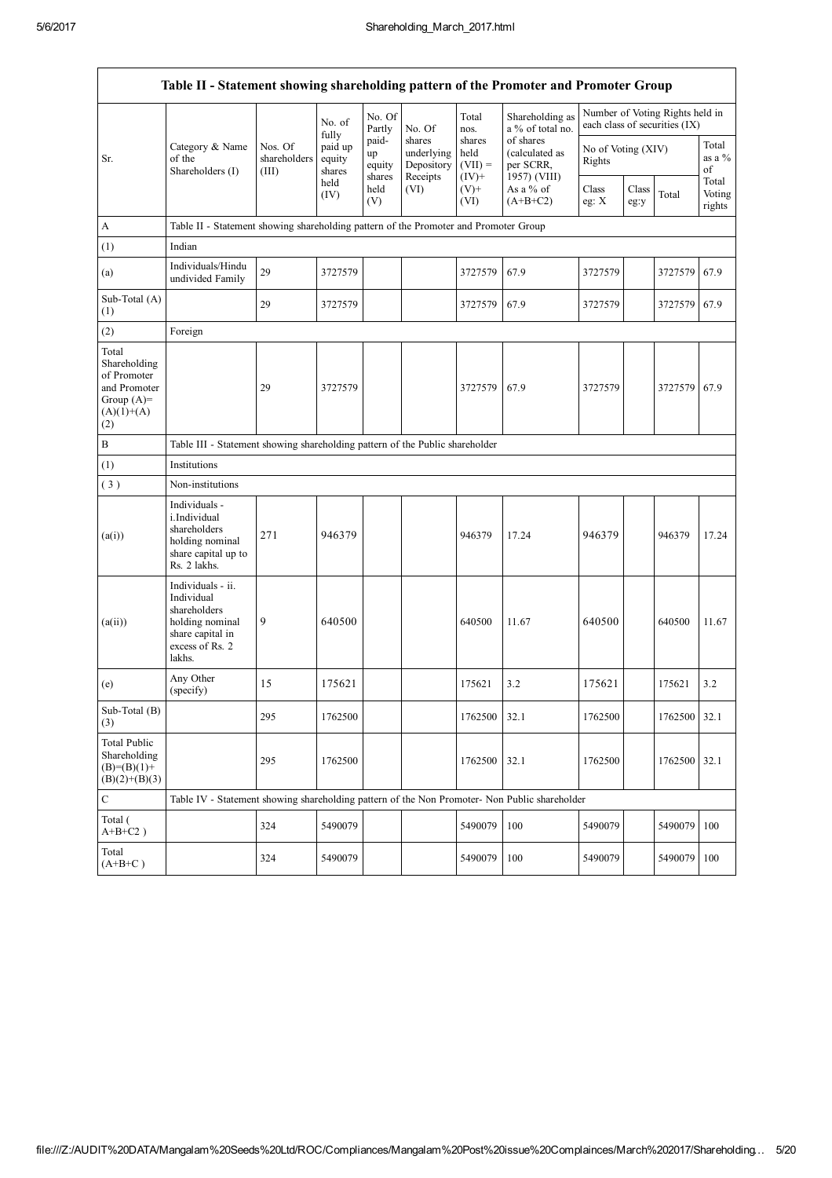$\overline{1}$ 

 $\overline{\mathsf{I}}$ 

| Table II - Statement showing shareholding pattern of the Promoter and Promoter Group        |                                                                                                                     |                                  |                                     |                                 |                                                |                                        |                                                          |                                                                  |               |         |                                  |
|---------------------------------------------------------------------------------------------|---------------------------------------------------------------------------------------------------------------------|----------------------------------|-------------------------------------|---------------------------------|------------------------------------------------|----------------------------------------|----------------------------------------------------------|------------------------------------------------------------------|---------------|---------|----------------------------------|
|                                                                                             |                                                                                                                     |                                  | No. of<br>fully                     | No. Of<br>Partly                | No. Of                                         | Total<br>nos.                          | Shareholding as<br>a % of total no.                      | Number of Voting Rights held in<br>each class of securities (IX) |               |         |                                  |
| Sr.                                                                                         | Category & Name<br>of the<br>Shareholders (I)                                                                       | Nos. Of<br>shareholders<br>(III) | paid up<br>equity<br>shares<br>held | paid-<br>up<br>equity<br>shares | shares<br>underlying<br>Depository<br>Receipts | shares<br>held<br>$(VII) =$<br>$(IV)+$ | of shares<br>(calculated as<br>per SCRR,<br>1957) (VIII) | No of Voting (XIV)<br>Rights                                     |               |         | Total<br>as a $%$<br>of<br>Total |
|                                                                                             |                                                                                                                     |                                  | (IV)                                | held<br>(V)                     | (VI)                                           | $(V)$ +<br>(VI)                        | As a % of<br>$(A+B+C2)$                                  | Class<br>eg: $X$                                                 | Class<br>eg:y | Total   | Voting<br>rights                 |
| A                                                                                           | Table II - Statement showing shareholding pattern of the Promoter and Promoter Group                                |                                  |                                     |                                 |                                                |                                        |                                                          |                                                                  |               |         |                                  |
| (1)                                                                                         | Indian                                                                                                              |                                  |                                     |                                 |                                                |                                        |                                                          |                                                                  |               |         |                                  |
| (a)                                                                                         | Individuals/Hindu<br>undivided Family                                                                               | 29                               | 3727579                             |                                 |                                                | 3727579                                | 67.9                                                     | 3727579                                                          |               | 3727579 | 67.9                             |
| Sub-Total (A)<br>(1)                                                                        |                                                                                                                     | 29                               | 3727579                             |                                 |                                                | 3727579                                | 67.9                                                     | 3727579                                                          |               | 3727579 | 67.9                             |
| (2)                                                                                         | Foreign                                                                                                             |                                  |                                     |                                 |                                                |                                        |                                                          |                                                                  |               |         |                                  |
| Total<br>Shareholding<br>of Promoter<br>and Promoter<br>Group $(A)=$<br>$(A)(1)+(A)$<br>(2) |                                                                                                                     | 29                               | 3727579                             |                                 |                                                | 3727579                                | 67.9                                                     | 3727579                                                          |               | 3727579 | 67.9                             |
| $\, {\bf B}$                                                                                | Table III - Statement showing shareholding pattern of the Public shareholder                                        |                                  |                                     |                                 |                                                |                                        |                                                          |                                                                  |               |         |                                  |
| (1)                                                                                         | Institutions                                                                                                        |                                  |                                     |                                 |                                                |                                        |                                                          |                                                                  |               |         |                                  |
| (3)                                                                                         | Non-institutions                                                                                                    |                                  |                                     |                                 |                                                |                                        |                                                          |                                                                  |               |         |                                  |
| (a(i))                                                                                      | Individuals -<br>i.Individual<br>shareholders<br>holding nominal<br>share capital up to<br>Rs. 2 lakhs.             | 271                              | 946379                              |                                 |                                                | 946379                                 | 17.24                                                    | 946379                                                           |               | 946379  | 17.24                            |
| (a(ii))                                                                                     | Individuals - ii.<br>Individual<br>shareholders<br>holding nominal<br>share capital in<br>excess of Rs. 2<br>lakhs. | 9                                | 640500                              |                                 |                                                | 640500                                 | 11.67                                                    | 640500                                                           |               | 640500  | 11.67                            |
| (e)                                                                                         | Any Other<br>(specify)                                                                                              | 15                               | 175621                              |                                 |                                                | 175621                                 | 3.2                                                      | 175621                                                           |               | 175621  | 3.2                              |
| Sub-Total (B)<br>(3)                                                                        |                                                                                                                     | 295                              | 1762500                             |                                 |                                                | 1762500                                | 32.1                                                     | 1762500                                                          |               | 1762500 | 32.1                             |
| <b>Total Public</b><br>Shareholding<br>$(B)=(B)(1)+$<br>$(B)(2)+(B)(3)$                     |                                                                                                                     | 295                              | 1762500                             |                                 |                                                | 1762500                                | 32.1                                                     | 1762500                                                          |               | 1762500 | 32.1                             |
| $\mathbf C$                                                                                 | Table IV - Statement showing shareholding pattern of the Non Promoter- Non Public shareholder                       |                                  |                                     |                                 |                                                |                                        |                                                          |                                                                  |               |         |                                  |
| Total (<br>$A+B+C2$ )                                                                       |                                                                                                                     | 324                              | 5490079                             |                                 |                                                | 5490079                                | 100                                                      | 5490079                                                          |               | 5490079 | 100                              |
| Total<br>$(A+B+C)$                                                                          |                                                                                                                     | 324                              | 5490079                             |                                 |                                                | 5490079                                | 100                                                      | 5490079                                                          |               | 5490079 | 100                              |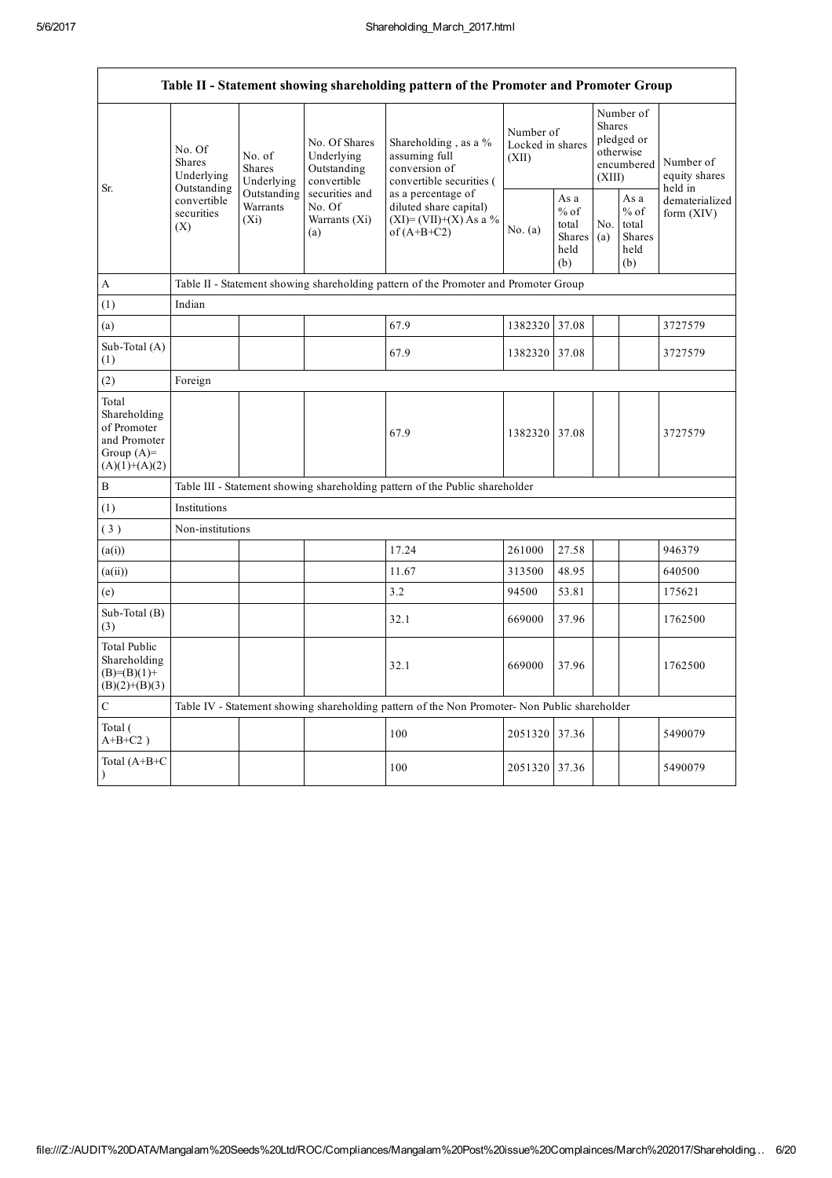$\overline{1}$ 

 $\overline{\mathsf{I}}$ 

|                                                                                         |                                                 |                                       |                                                           | Table II - Statement showing shareholding pattern of the Promoter and Promoter Group          |                                        |                                                  |                                                                        |                                                  |                                       |  |
|-----------------------------------------------------------------------------------------|-------------------------------------------------|---------------------------------------|-----------------------------------------------------------|-----------------------------------------------------------------------------------------------|----------------------------------------|--------------------------------------------------|------------------------------------------------------------------------|--------------------------------------------------|---------------------------------------|--|
| Sr.                                                                                     | No. Of<br><b>Shares</b><br>Underlying           | No. of<br><b>Shares</b><br>Underlying | No. Of Shares<br>Underlying<br>Outstanding<br>convertible | Shareholding, as a %<br>assuming full<br>conversion of<br>convertible securities (            | Number of<br>Locked in shares<br>(XII) |                                                  | Number of<br>Shares<br>pledged or<br>otherwise<br>encumbered<br>(XIII) |                                                  | Number of<br>equity shares<br>held in |  |
|                                                                                         | Outstanding<br>convertible<br>securities<br>(X) | Outstanding<br>Warrants<br>$(X_i)$    | securities and<br>No. Of<br>Warrants (Xi)<br>(a)          | as a percentage of<br>diluted share capital)<br>$(XI)=(VII)+(X) As a %$<br>of $(A+B+C2)$      | No. (a)                                | As a<br>$%$ of<br>total<br>Shares<br>held<br>(b) | No.<br>(a)                                                             | As a<br>$%$ of<br>total<br>Shares<br>held<br>(b) | dematerialized<br>form $(XIV)$        |  |
| $\mathbf{A}$                                                                            |                                                 |                                       |                                                           | Table II - Statement showing shareholding pattern of the Promoter and Promoter Group          |                                        |                                                  |                                                                        |                                                  |                                       |  |
| (1)                                                                                     | Indian                                          |                                       |                                                           |                                                                                               |                                        |                                                  |                                                                        |                                                  |                                       |  |
| (a)                                                                                     |                                                 |                                       |                                                           | 67.9                                                                                          | 1382320 37.08                          |                                                  |                                                                        |                                                  | 3727579                               |  |
| Sub-Total (A)<br>(1)                                                                    |                                                 |                                       |                                                           | 67.9                                                                                          | 1382320 37.08                          |                                                  |                                                                        |                                                  | 3727579                               |  |
| (2)                                                                                     | Foreign                                         |                                       |                                                           |                                                                                               |                                        |                                                  |                                                                        |                                                  |                                       |  |
| Total<br>Shareholding<br>of Promoter<br>and Promoter<br>Group $(A)=$<br>$(A)(1)+(A)(2)$ |                                                 |                                       |                                                           | 67.9                                                                                          | 1382320 37.08                          |                                                  |                                                                        |                                                  | 3727579                               |  |
| $\, {\bf B}$                                                                            |                                                 |                                       |                                                           | Table III - Statement showing shareholding pattern of the Public shareholder                  |                                        |                                                  |                                                                        |                                                  |                                       |  |
| (1)                                                                                     | Institutions                                    |                                       |                                                           |                                                                                               |                                        |                                                  |                                                                        |                                                  |                                       |  |
| (3)                                                                                     | Non-institutions                                |                                       |                                                           |                                                                                               |                                        |                                                  |                                                                        |                                                  |                                       |  |
| (a(i))                                                                                  |                                                 |                                       |                                                           | 17.24                                                                                         | 261000                                 | 27.58                                            |                                                                        |                                                  | 946379                                |  |
| (a(ii))                                                                                 |                                                 |                                       |                                                           | 11.67                                                                                         | 313500                                 | 48.95                                            |                                                                        |                                                  | 640500                                |  |
| (e)                                                                                     |                                                 |                                       |                                                           | 3.2                                                                                           | 94500                                  | 53.81                                            |                                                                        |                                                  | 175621                                |  |
| Sub-Total (B)<br>(3)                                                                    |                                                 |                                       |                                                           | 32.1                                                                                          | 669000                                 | 37.96                                            |                                                                        |                                                  | 1762500                               |  |
| <b>Total Public</b><br>Shareholding<br>$(B)= (B)(1) +$<br>$(B)(2)+(B)(3)$               |                                                 |                                       |                                                           | 32.1                                                                                          | 669000                                 | 37.96                                            |                                                                        |                                                  | 1762500                               |  |
| $\mathbf C$                                                                             |                                                 |                                       |                                                           | Table IV - Statement showing shareholding pattern of the Non Promoter- Non Public shareholder |                                        |                                                  |                                                                        |                                                  |                                       |  |
| Total (<br>$A+B+C2$ )                                                                   |                                                 |                                       |                                                           | 100                                                                                           | 2051320 37.36                          |                                                  |                                                                        |                                                  | 5490079                               |  |
| Total $(A+B+C)$<br>$\mathcal{L}$                                                        |                                                 |                                       |                                                           | 100                                                                                           | 2051320 37.36                          |                                                  |                                                                        |                                                  | 5490079                               |  |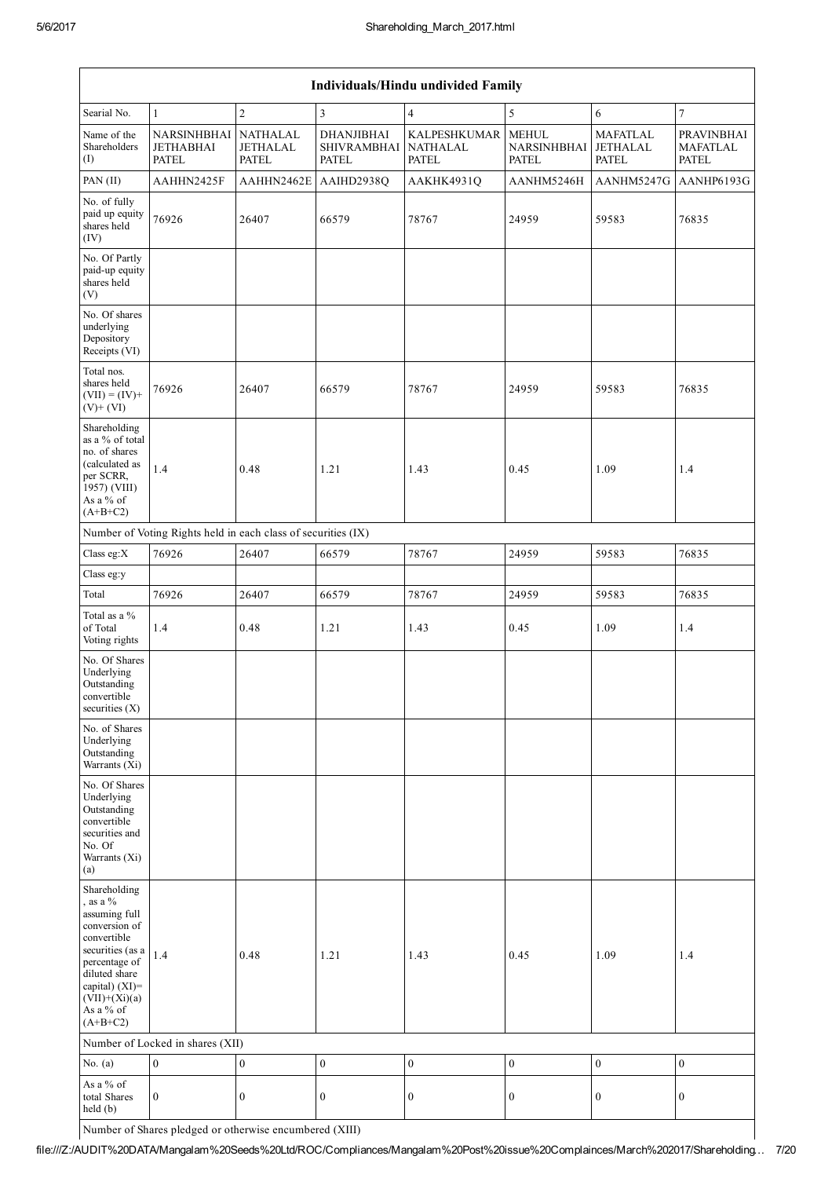| <b>Individuals/Hindu undivided Family</b>                                                                                                                                                                |                                                               |                                                    |                                                  |                                                        |                                             |                                                    |                                               |  |  |  |  |  |
|----------------------------------------------------------------------------------------------------------------------------------------------------------------------------------------------------------|---------------------------------------------------------------|----------------------------------------------------|--------------------------------------------------|--------------------------------------------------------|---------------------------------------------|----------------------------------------------------|-----------------------------------------------|--|--|--|--|--|
| Searial No.                                                                                                                                                                                              | $\mathbf{1}$                                                  | $\overline{c}$                                     | $\mathfrak{Z}$                                   | $\overline{4}$                                         | 5                                           | 6                                                  | $\overline{7}$                                |  |  |  |  |  |
| Name of the<br>Shareholders<br>$($ I $)$                                                                                                                                                                 | <b>NARSINHBHAI</b><br><b>JETHABHAI</b><br><b>PATEL</b>        | <b>NATHALAL</b><br><b>JETHALAL</b><br><b>PATEL</b> | <b>DHANJIBHAI</b><br>SHIVRAMBHAI<br><b>PATEL</b> | <b>KALPESHKUMAR</b><br><b>NATHALAL</b><br><b>PATEL</b> | <b>MEHUL</b><br>NARSINHBHAI<br><b>PATEL</b> | <b>MAFATLAL</b><br><b>JETHALAL</b><br><b>PATEL</b> | <b>PRAVINBHAI</b><br><b>MAFATLAL</b><br>PATEL |  |  |  |  |  |
| PAN (II)                                                                                                                                                                                                 | AAHHN2425F                                                    | AAHHN2462E                                         | AAIHD2938Q                                       | AAKHK4931Q                                             | AANHM5246H                                  | AANHM5247G                                         | AANHP6193G                                    |  |  |  |  |  |
| No. of fully<br>paid up equity<br>shares held<br>(IV)                                                                                                                                                    | 76926                                                         | 26407                                              | 66579                                            | 78767                                                  | 24959                                       | 59583                                              | 76835                                         |  |  |  |  |  |
| No. Of Partly<br>paid-up equity<br>shares held<br>(V)                                                                                                                                                    |                                                               |                                                    |                                                  |                                                        |                                             |                                                    |                                               |  |  |  |  |  |
| No. Of shares<br>underlying<br>Depository<br>Receipts (VI)                                                                                                                                               |                                                               |                                                    |                                                  |                                                        |                                             |                                                    |                                               |  |  |  |  |  |
| Total nos.<br>shares held<br>$(VII) = (IV) +$<br>$(V)+(VI)$                                                                                                                                              | 76926                                                         | 26407                                              | 66579                                            | 78767                                                  | 24959                                       | 59583                                              | 76835                                         |  |  |  |  |  |
| Shareholding<br>as a % of total<br>no. of shares<br>(calculated as<br>per SCRR,<br>1957) (VIII)<br>As a % of<br>$(A+B+C2)$                                                                               | 1.4                                                           | 0.48                                               | 1.21                                             | 1.43                                                   | 0.45                                        | 1.09                                               | 1.4                                           |  |  |  |  |  |
|                                                                                                                                                                                                          | Number of Voting Rights held in each class of securities (IX) |                                                    |                                                  |                                                        |                                             |                                                    |                                               |  |  |  |  |  |
| Class eg:X                                                                                                                                                                                               | 76926                                                         | 26407                                              | 66579                                            | 78767                                                  | 24959                                       | 59583                                              | 76835                                         |  |  |  |  |  |
| Class eg:y                                                                                                                                                                                               |                                                               |                                                    |                                                  |                                                        |                                             |                                                    |                                               |  |  |  |  |  |
| Total                                                                                                                                                                                                    | 76926                                                         | 26407                                              | 66579                                            | 78767                                                  | 24959                                       | 59583                                              | 76835                                         |  |  |  |  |  |
| Total as a $\%$<br>of Total<br>Voting rights                                                                                                                                                             | 1.4                                                           | 0.48                                               | 1.21                                             | 1.43                                                   | 0.45                                        | 1.09                                               | 1.4                                           |  |  |  |  |  |
| No. Of Shares<br>Underlying<br>Outstanding<br>convertible<br>securities (X)                                                                                                                              |                                                               |                                                    |                                                  |                                                        |                                             |                                                    |                                               |  |  |  |  |  |
| No. of Shares<br>Underlying<br>Outstanding<br>Warrants (Xi)                                                                                                                                              |                                                               |                                                    |                                                  |                                                        |                                             |                                                    |                                               |  |  |  |  |  |
| No. Of Shares<br>Underlying<br>Outstanding<br>convertible<br>securities and<br>No. Of<br>Warrants (Xi)<br>(a)                                                                                            |                                                               |                                                    |                                                  |                                                        |                                             |                                                    |                                               |  |  |  |  |  |
| Shareholding<br>, as a $\%$<br>assuming full<br>conversion of<br>convertible<br>securities (as a<br>percentage of<br>diluted share<br>capital) $(XI)$ =<br>$(VII)+(Xi)(a)$<br>As a $\%$ of<br>$(A+B+C2)$ | 1.4                                                           | 0.48                                               | 1.21                                             | 1.43                                                   | 0.45                                        | 1.09                                               | 1.4                                           |  |  |  |  |  |
|                                                                                                                                                                                                          | Number of Locked in shares (XII)                              |                                                    |                                                  |                                                        |                                             |                                                    |                                               |  |  |  |  |  |
| No. $(a)$                                                                                                                                                                                                | $\boldsymbol{0}$                                              | $\boldsymbol{0}$                                   | $\boldsymbol{0}$                                 | $\boldsymbol{0}$                                       | $\boldsymbol{0}$                            | $\boldsymbol{0}$                                   | $\boldsymbol{0}$                              |  |  |  |  |  |
| As a % of<br>total Shares<br>held (b)                                                                                                                                                                    | $\boldsymbol{0}$                                              | $\boldsymbol{0}$                                   | $\boldsymbol{0}$                                 | $\boldsymbol{0}$                                       | $\boldsymbol{0}$                            | 0                                                  | $\boldsymbol{0}$                              |  |  |  |  |  |

Number of Shares pledged or otherwise encumbered (XIII)

file:///Z:/AUDIT%20DATA/Mangalam%20Seeds%20Ltd/ROC/Compliances/Mangalam%20Post%20issue%20Complainces/March%202017/Shareholding… 7/20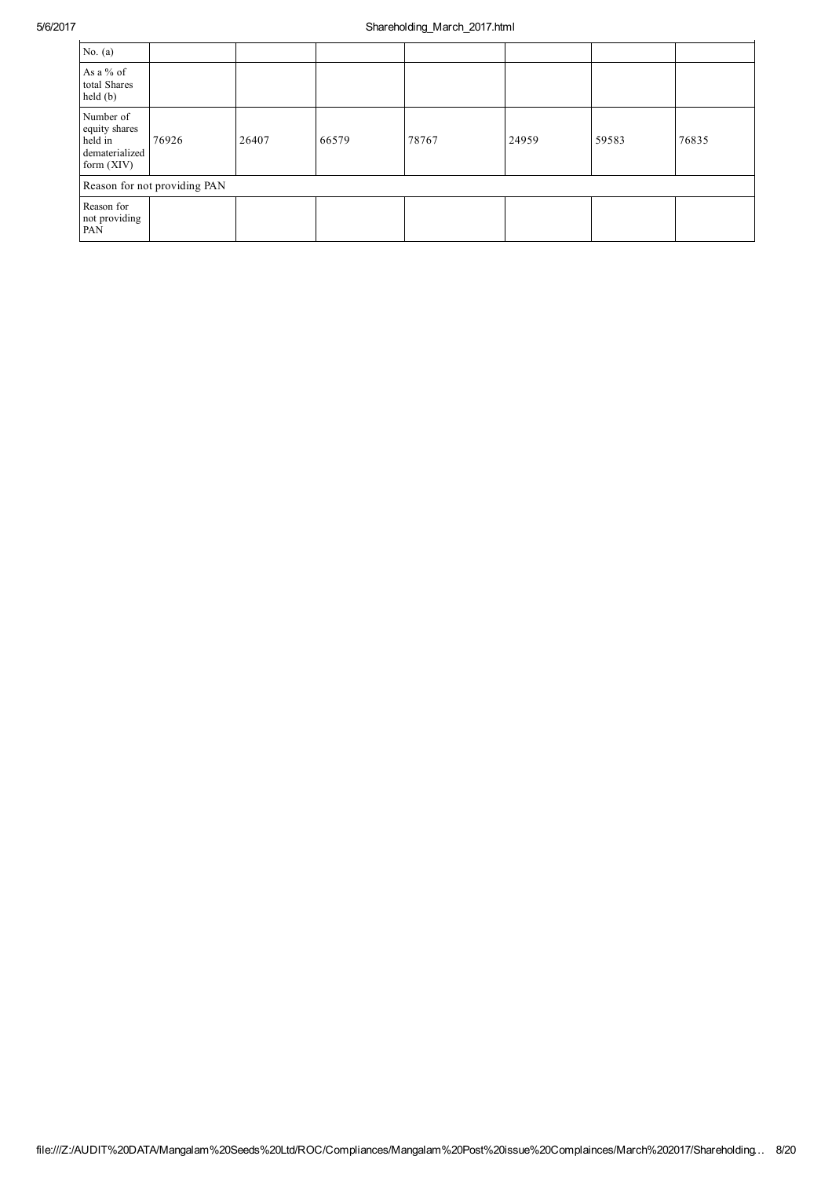| No. $(a)$                                                               |                              |       |       |       |       |       |       |
|-------------------------------------------------------------------------|------------------------------|-------|-------|-------|-------|-------|-------|
| As a % of<br>total Shares<br>$\text{held}(\text{b})$                    |                              |       |       |       |       |       |       |
| Number of<br>equity shares<br>held in<br>dematerialized<br>form $(XIV)$ | 76926                        | 26407 | 66579 | 78767 | 24959 | 59583 | 76835 |
|                                                                         | Reason for not providing PAN |       |       |       |       |       |       |
| Reason for<br>not providing<br>PAN                                      |                              |       |       |       |       |       |       |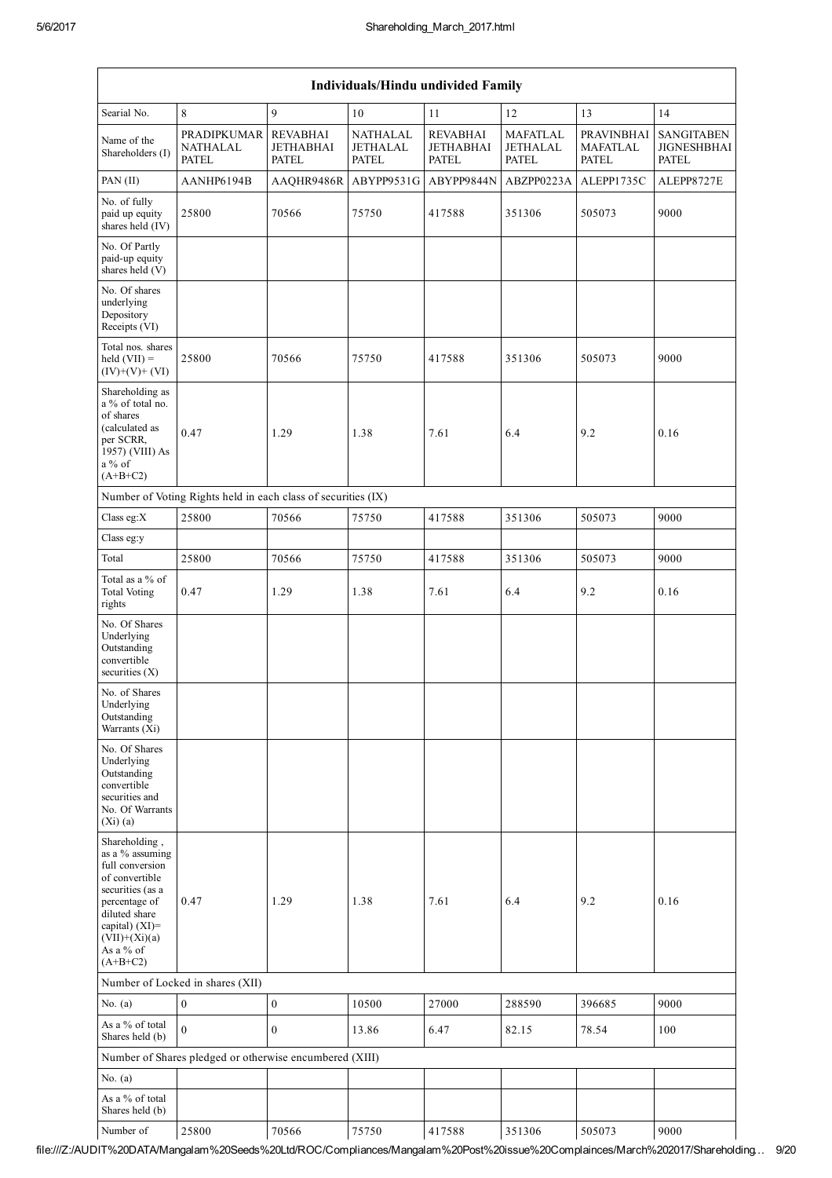| Individuals/Hindu undivided Family                                                                                                                                                             |                                                               |                                                     |                                                    |                                                     |                                             |                                               |                                                         |  |  |  |  |
|------------------------------------------------------------------------------------------------------------------------------------------------------------------------------------------------|---------------------------------------------------------------|-----------------------------------------------------|----------------------------------------------------|-----------------------------------------------------|---------------------------------------------|-----------------------------------------------|---------------------------------------------------------|--|--|--|--|
| Searial No.                                                                                                                                                                                    | $\,8\,$                                                       | $\mathbf{Q}$                                        | 10                                                 | 11                                                  | 12                                          | 13                                            | 14                                                      |  |  |  |  |
| Name of the<br>Shareholders (I)                                                                                                                                                                | <b>PRADIPKUMAR</b><br>NATHALAL<br><b>PATEL</b>                | <b>REVABHAI</b><br><b>JETHABHAI</b><br><b>PATEL</b> | <b>NATHALAL</b><br><b>JETHALAL</b><br><b>PATEL</b> | <b>REVABHAI</b><br><b>JETHABHAI</b><br><b>PATEL</b> | <b>MAFATLAL</b><br>JETHALAL<br><b>PATEL</b> | PRAVINBHAI<br><b>MAFATLAL</b><br><b>PATEL</b> | <b>SANGITABEN</b><br><b>JIGNESHBHAI</b><br><b>PATEL</b> |  |  |  |  |
| PAN (II)                                                                                                                                                                                       | AANHP6194B                                                    | AAQHR9486R                                          | ABYPP9531G                                         | ABYPP9844N                                          | ABZPP0223A                                  | ALEPP1735C                                    | ALEPP8727E                                              |  |  |  |  |
| No. of fully<br>paid up equity<br>shares held (IV)                                                                                                                                             | 25800                                                         | 70566                                               | 75750                                              | 417588                                              | 351306                                      | 505073                                        | 9000                                                    |  |  |  |  |
| No. Of Partly<br>paid-up equity<br>shares held (V)                                                                                                                                             |                                                               |                                                     |                                                    |                                                     |                                             |                                               |                                                         |  |  |  |  |
| No. Of shares<br>underlying<br>Depository<br>Receipts (VI)                                                                                                                                     |                                                               |                                                     |                                                    |                                                     |                                             |                                               |                                                         |  |  |  |  |
| Total nos. shares<br>held $(VII) =$<br>$(IV)+(V)+(VI)$                                                                                                                                         | 25800                                                         | 70566                                               | 75750                                              | 417588                                              | 351306                                      | 505073                                        | 9000                                                    |  |  |  |  |
| Shareholding as<br>a % of total no.<br>of shares<br>(calculated as<br>per SCRR,<br>1957) (VIII) As<br>$a\%$ of<br>$(A+B+C2)$                                                                   | 0.47                                                          | 1.29                                                | 1.38                                               | 7.61                                                | 6.4                                         | 9.2                                           | 0.16                                                    |  |  |  |  |
|                                                                                                                                                                                                | Number of Voting Rights held in each class of securities (IX) |                                                     |                                                    |                                                     |                                             |                                               |                                                         |  |  |  |  |
| Class eg:X                                                                                                                                                                                     | 25800                                                         | 70566                                               | 75750                                              | 417588                                              | 351306                                      | 505073                                        | 9000                                                    |  |  |  |  |
| Class eg:y                                                                                                                                                                                     |                                                               |                                                     |                                                    |                                                     |                                             |                                               |                                                         |  |  |  |  |
| Total                                                                                                                                                                                          | 25800                                                         | 70566                                               | 75750                                              | 417588                                              | 351306                                      | 505073                                        | 9000                                                    |  |  |  |  |
| Total as a % of<br><b>Total Voting</b><br>rights                                                                                                                                               | 0.47                                                          | 1.29                                                | 1.38                                               | 7.61                                                | 6.4                                         | 9.2                                           | 0.16                                                    |  |  |  |  |
| No. Of Shares<br>Underlying<br>Outstanding<br>convertible<br>securities $(X)$                                                                                                                  |                                                               |                                                     |                                                    |                                                     |                                             |                                               |                                                         |  |  |  |  |
| No. of Shares<br>Underlying<br>Outstanding<br>Warrants (Xi)                                                                                                                                    |                                                               |                                                     |                                                    |                                                     |                                             |                                               |                                                         |  |  |  |  |
| No. Of Shares<br>Underlying<br>Outstanding<br>convertible<br>securities and<br>No. Of Warrants<br>$(Xi)$ (a)                                                                                   |                                                               |                                                     |                                                    |                                                     |                                             |                                               |                                                         |  |  |  |  |
| Shareholding,<br>as a % assuming<br>full conversion<br>of convertible<br>securities (as a<br>percentage of<br>diluted share<br>capital) $(XI)$ =<br>$(VII)+(Xi)(a)$<br>As a % of<br>$(A+B+C2)$ | 0.47                                                          | 1.29                                                | 1.38                                               | 7.61                                                | 6.4                                         | 9.2                                           | 0.16                                                    |  |  |  |  |
|                                                                                                                                                                                                | Number of Locked in shares (XII)                              |                                                     |                                                    |                                                     |                                             |                                               |                                                         |  |  |  |  |
| No. $(a)$                                                                                                                                                                                      | $\boldsymbol{0}$                                              | $\boldsymbol{0}$                                    | 10500                                              | 27000                                               | 288590                                      | 396685                                        | 9000                                                    |  |  |  |  |
| As a % of total<br>Shares held (b)                                                                                                                                                             | $\boldsymbol{0}$                                              | $\mathbf{0}$                                        | 13.86                                              | 6.47                                                | 82.15                                       | 78.54                                         | 100                                                     |  |  |  |  |
|                                                                                                                                                                                                | Number of Shares pledged or otherwise encumbered (XIII)       |                                                     |                                                    |                                                     |                                             |                                               |                                                         |  |  |  |  |
| No. $(a)$                                                                                                                                                                                      |                                                               |                                                     |                                                    |                                                     |                                             |                                               |                                                         |  |  |  |  |
| As a % of total<br>Shares held (b)                                                                                                                                                             |                                                               |                                                     |                                                    |                                                     |                                             |                                               |                                                         |  |  |  |  |
| Number of                                                                                                                                                                                      | 25800                                                         | 70566                                               | 75750                                              | 417588                                              | 351306                                      | 505073                                        | 9000                                                    |  |  |  |  |

file:///Z:/AUDIT%20DATA/Mangalam%20Seeds%20Ltd/ROC/Compliances/Mangalam%20Post%20issue%20Complainces/March%202017/Shareholding… 9/20

H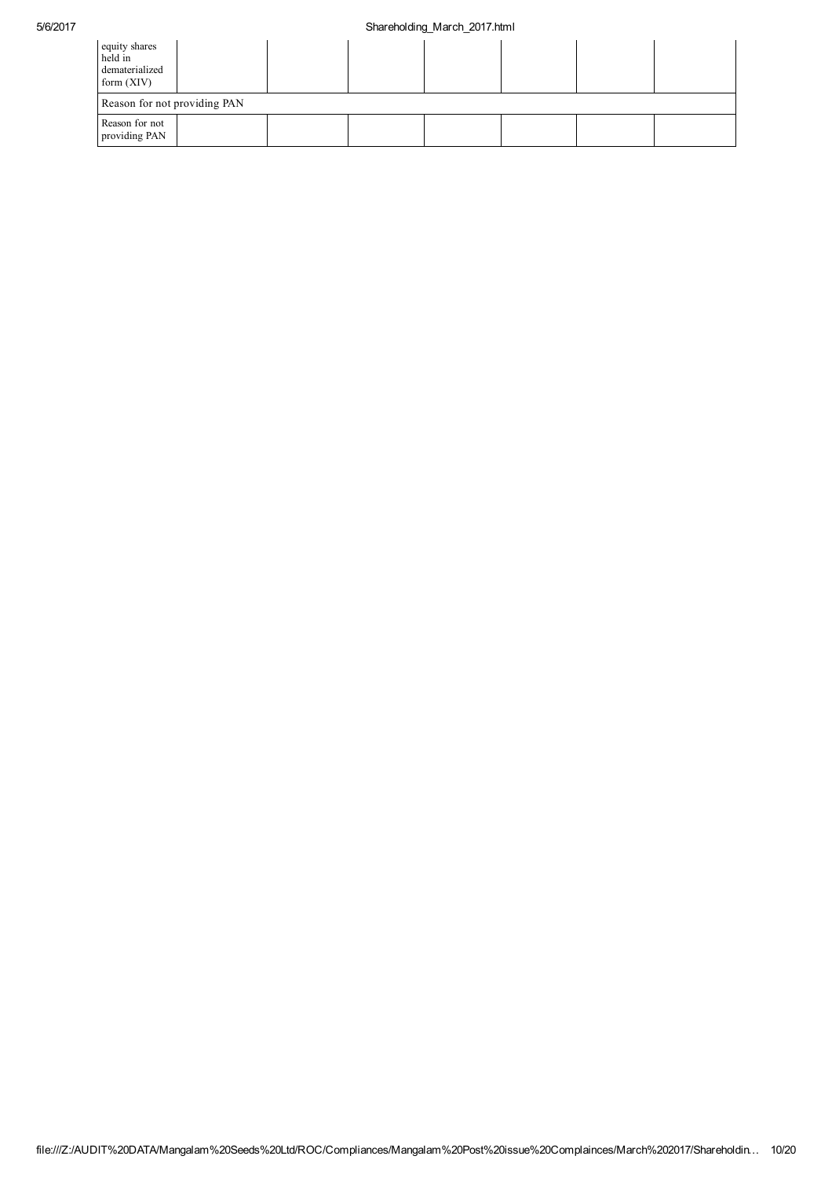| equity shares<br>held in<br>dematerialized<br>form $(XIV)$ |  |  |  |  |
|------------------------------------------------------------|--|--|--|--|
| Reason for not providing PAN                               |  |  |  |  |
| Reason for not<br>providing PAN                            |  |  |  |  |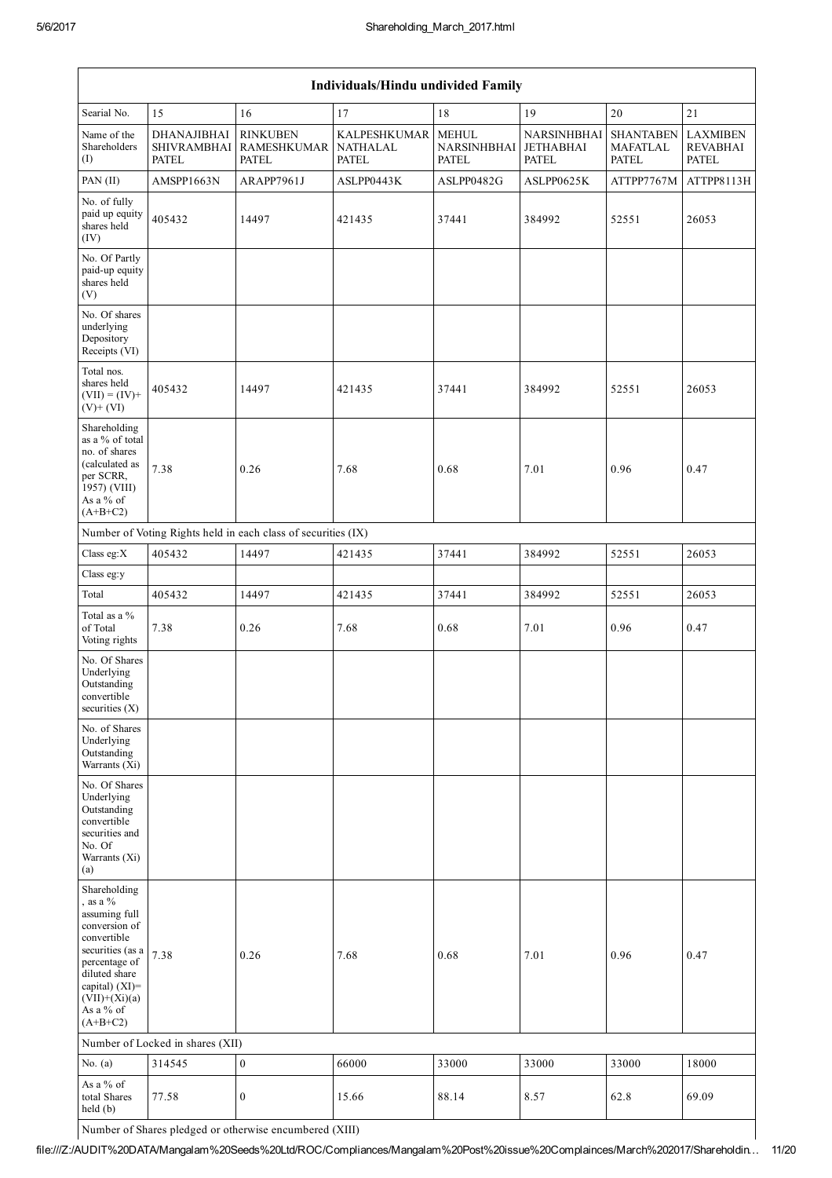| Individuals/Hindu undivided Family                                                                                                                                                                   |                                                   |                                                               |                                                 |                                             |                                                 |                                              |                                                    |  |  |  |  |
|------------------------------------------------------------------------------------------------------------------------------------------------------------------------------------------------------|---------------------------------------------------|---------------------------------------------------------------|-------------------------------------------------|---------------------------------------------|-------------------------------------------------|----------------------------------------------|----------------------------------------------------|--|--|--|--|
| Searial No.                                                                                                                                                                                          | 15                                                | 16                                                            | 17                                              | 18                                          | 19                                              | 20                                           | 21                                                 |  |  |  |  |
| Name of the<br>Shareholders<br>(I)                                                                                                                                                                   | DHANAJIBHAI<br><b>SHIVRAMBHAI</b><br><b>PATEL</b> | <b>RINKUBEN</b><br><b>RAMESHKUMAR</b><br>PATEL                | <b>KALPESHKUMAR</b><br><b>NATHALAL</b><br>PATEL | <b>MEHUL</b><br>NARSINHBHAI<br><b>PATEL</b> | NARSINHBHAI<br><b>JETHABHAI</b><br><b>PATEL</b> | <b>SHANTABEN</b><br><b>MAFATLAL</b><br>PATEL | <b>LAXMIBEN</b><br><b>REVABHAI</b><br><b>PATEL</b> |  |  |  |  |
| PAN (II)                                                                                                                                                                                             | AMSPP1663N                                        | ARAPP7961J                                                    | ASLPP0443K                                      | ASLPP0482G                                  | ASLPP0625K                                      | ATTPP7767M                                   | ATTPP8113H                                         |  |  |  |  |
| No. of fully<br>paid up equity<br>shares held<br>(IV)                                                                                                                                                | 405432                                            | 14497                                                         | 421435                                          | 37441                                       | 384992                                          | 52551                                        | 26053                                              |  |  |  |  |
| No. Of Partly<br>paid-up equity<br>shares held<br>(V)                                                                                                                                                |                                                   |                                                               |                                                 |                                             |                                                 |                                              |                                                    |  |  |  |  |
| No. Of shares<br>underlying<br>Depository<br>Receipts (VI)                                                                                                                                           |                                                   |                                                               |                                                 |                                             |                                                 |                                              |                                                    |  |  |  |  |
| Total nos.<br>shares held<br>$(VII) = (IV) +$<br>$(V)$ + $(VI)$                                                                                                                                      | 405432                                            | 14497                                                         | 421435                                          | 37441                                       | 384992                                          | 52551                                        | 26053                                              |  |  |  |  |
| Shareholding<br>as a % of total<br>no. of shares<br>(calculated as<br>per SCRR,<br>1957) (VIII)<br>As a % of<br>$(A+B+C2)$                                                                           | 7.38                                              | 0.26                                                          | 7.68                                            | 0.68                                        | 7.01                                            | 0.96                                         | 0.47                                               |  |  |  |  |
|                                                                                                                                                                                                      |                                                   | Number of Voting Rights held in each class of securities (IX) |                                                 |                                             |                                                 |                                              |                                                    |  |  |  |  |
| Class eg:X                                                                                                                                                                                           | 405432                                            | 14497                                                         | 421435                                          | 37441                                       | 384992                                          | 52551                                        | 26053                                              |  |  |  |  |
| Class eg:y                                                                                                                                                                                           |                                                   |                                                               |                                                 |                                             |                                                 |                                              |                                                    |  |  |  |  |
| Total                                                                                                                                                                                                | 405432                                            | 14497                                                         | 421435                                          | 37441                                       | 384992                                          | 52551                                        | 26053                                              |  |  |  |  |
| Total as a %<br>of Total<br>Voting rights                                                                                                                                                            | 7.38                                              | 0.26                                                          | 7.68                                            | 0.68                                        | 7.01                                            | 0.96                                         | 0.47                                               |  |  |  |  |
| No. Of Shares<br>Underlying<br>Outstanding<br>convertible<br>securities $(X)$                                                                                                                        |                                                   |                                                               |                                                 |                                             |                                                 |                                              |                                                    |  |  |  |  |
| No. of Shares<br>Underlying<br>Outstanding<br>Warrants (Xi)                                                                                                                                          |                                                   |                                                               |                                                 |                                             |                                                 |                                              |                                                    |  |  |  |  |
| No. Of Shares<br>Underlying<br>Outstanding<br>convertible<br>securities and<br>No. Of<br>Warrants (Xi)<br>(a)                                                                                        |                                                   |                                                               |                                                 |                                             |                                                 |                                              |                                                    |  |  |  |  |
| Shareholding<br>, as a $%$<br>assuming full<br>conversion of<br>convertible<br>securities (as a<br>percentage of<br>diluted share<br>capital) $(XI)$ =<br>$(VII)+(Xi)(a)$<br>As a % of<br>$(A+B+C2)$ | 7.38                                              | 0.26                                                          | 7.68                                            | 0.68                                        | 7.01                                            | 0.96                                         | 0.47                                               |  |  |  |  |
|                                                                                                                                                                                                      | Number of Locked in shares (XII)                  |                                                               |                                                 |                                             |                                                 |                                              |                                                    |  |  |  |  |
| No. $(a)$                                                                                                                                                                                            | 314545                                            | $\boldsymbol{0}$                                              | 66000                                           | 33000                                       | 33000                                           | 33000                                        | 18000                                              |  |  |  |  |
| As a % of<br>total Shares<br>held(b)                                                                                                                                                                 | 77.58                                             | $\boldsymbol{0}$                                              | 15.66                                           | 88.14                                       | 8.57                                            | 62.8                                         | 69.09                                              |  |  |  |  |

Number of Shares pledged or otherwise encumbered (XIII)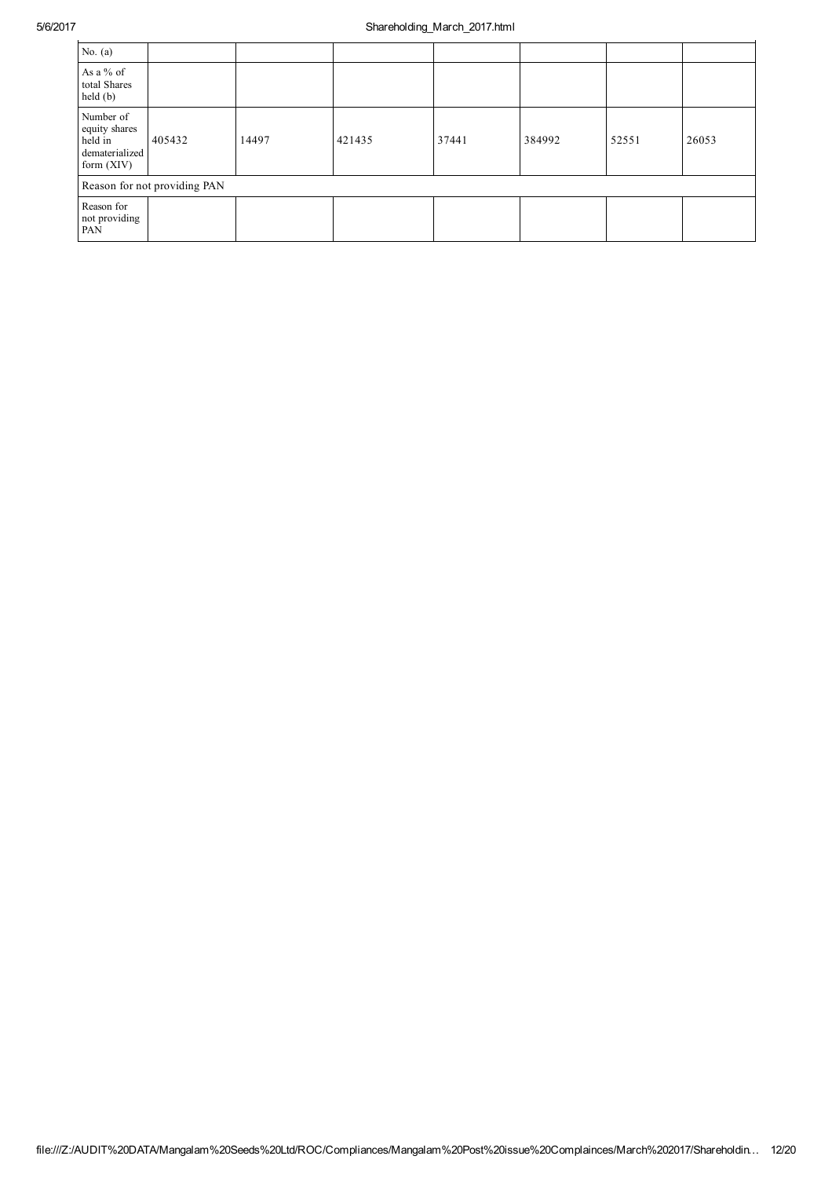| No. $(a)$                                                               |                              |       |        |       |        |       |       |
|-------------------------------------------------------------------------|------------------------------|-------|--------|-------|--------|-------|-------|
| As a % of<br>total Shares<br>held(b)                                    |                              |       |        |       |        |       |       |
| Number of<br>equity shares<br>held in<br>dematerialized<br>form $(XIV)$ | 405432                       | 14497 | 421435 | 37441 | 384992 | 52551 | 26053 |
|                                                                         | Reason for not providing PAN |       |        |       |        |       |       |
| Reason for<br>not providing<br><b>PAN</b>                               |                              |       |        |       |        |       |       |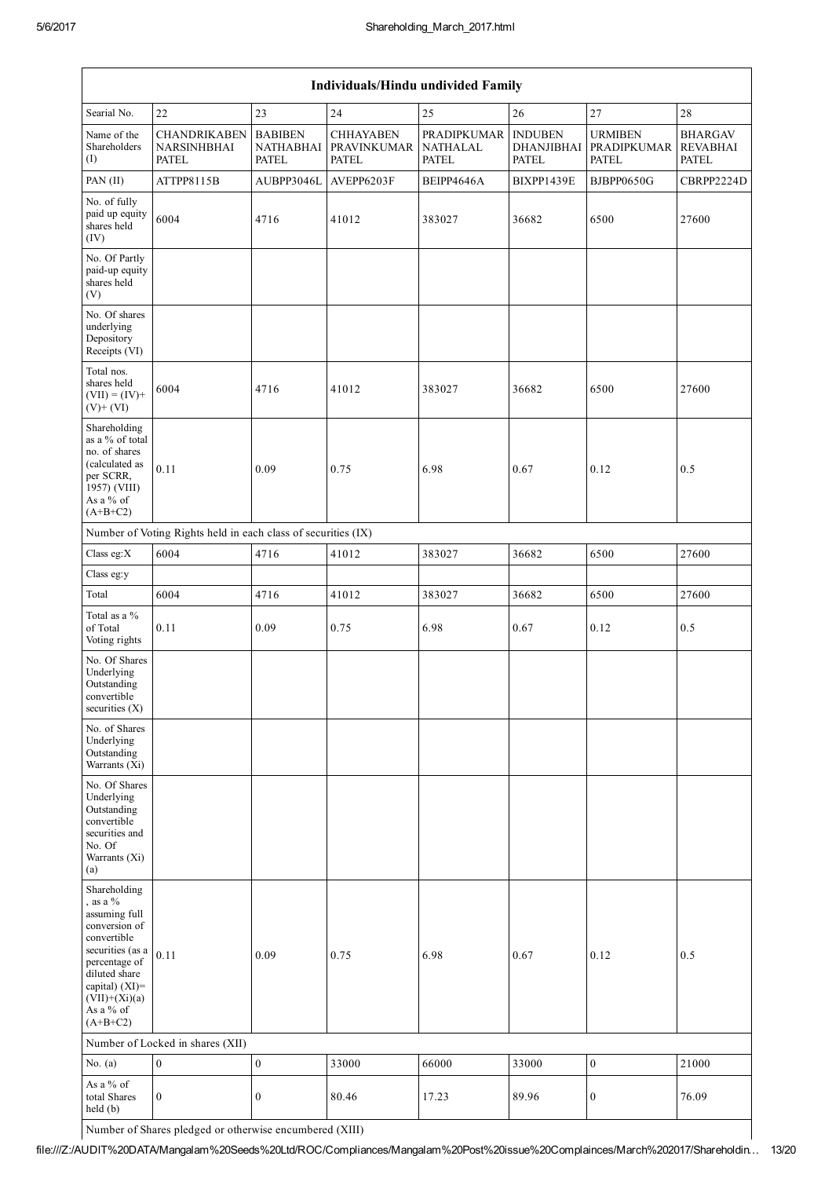| Individuals/Hindu undivided Family                                                                                                                                                                 |                                                               |                                             |                                                        |                                         |                                                     |                                               |                                            |  |
|----------------------------------------------------------------------------------------------------------------------------------------------------------------------------------------------------|---------------------------------------------------------------|---------------------------------------------|--------------------------------------------------------|-----------------------------------------|-----------------------------------------------------|-----------------------------------------------|--------------------------------------------|--|
| Searial No.                                                                                                                                                                                        | 22                                                            | 23                                          | 24                                                     | 25                                      | 26                                                  | 27                                            | 28                                         |  |
| Name of the<br>Shareholders<br>$\rm (I)$                                                                                                                                                           | <b>CHANDRIKABEN</b><br>NARSINHBHAI<br><b>PATEL</b>            | <b>BABIBEN</b><br><b>NATHABHAI</b><br>PATEL | <b>CHHAYABEN</b><br><b>PRAVINKUMAR</b><br><b>PATEL</b> | PRADIPKUMAR<br><b>NATHALAL</b><br>PATEL | <b>INDUBEN</b><br><b>DHANJIBHAI</b><br><b>PATEL</b> | <b>URMIBEN</b><br>PRADIPKUMAR<br><b>PATEL</b> | <b>BHARGAV</b><br><b>REVABHAI</b><br>PATEL |  |
| PAN (II)                                                                                                                                                                                           | ATTPP8115B                                                    | AUBPP3046L                                  | AVEPP6203F                                             | BEIPP4646A                              | BIXPP1439E                                          | BJBPP0650G                                    | CBRPP2224D                                 |  |
| No. of fully<br>paid up equity<br>shares held<br>(IV)                                                                                                                                              | 6004                                                          | 4716                                        | 41012                                                  | 383027                                  | 36682                                               | 6500                                          | 27600                                      |  |
| No. Of Partly<br>paid-up equity<br>shares held<br>(V)                                                                                                                                              |                                                               |                                             |                                                        |                                         |                                                     |                                               |                                            |  |
| No. Of shares<br>underlying<br>Depository<br>Receipts (VI)                                                                                                                                         |                                                               |                                             |                                                        |                                         |                                                     |                                               |                                            |  |
| Total nos.<br>shares held<br>$(VII) = (IV) +$<br>$(V)$ + $(VI)$                                                                                                                                    | 6004                                                          | 4716                                        | 41012                                                  | 383027                                  | 36682                                               | 6500                                          | 27600                                      |  |
| Shareholding<br>as a % of total<br>no. of shares<br>(calculated as<br>per SCRR,<br>1957) (VIII)<br>As a % of<br>$(A+B+C2)$                                                                         | 0.11                                                          | 0.09                                        | 0.75                                                   | 6.98                                    | 0.67                                                | 0.12                                          | 0.5                                        |  |
|                                                                                                                                                                                                    | Number of Voting Rights held in each class of securities (IX) |                                             |                                                        |                                         |                                                     |                                               |                                            |  |
| Class eg:X                                                                                                                                                                                         | 6004                                                          | 4716                                        | 41012                                                  | 383027                                  | 36682                                               | 6500                                          | 27600                                      |  |
| Class eg:y                                                                                                                                                                                         |                                                               |                                             |                                                        |                                         |                                                     |                                               |                                            |  |
| Total                                                                                                                                                                                              | 6004                                                          | 4716                                        | 41012                                                  | 383027                                  | 36682                                               | 6500                                          | 27600                                      |  |
| Total as a %<br>of Total<br>Voting rights                                                                                                                                                          | 0.11                                                          | 0.09                                        | 0.75                                                   | 6.98                                    | 0.67                                                | 0.12                                          | 0.5                                        |  |
| No. Of Shares<br>Underlying<br>Outstanding<br>convertible<br>securities (X)                                                                                                                        |                                                               |                                             |                                                        |                                         |                                                     |                                               |                                            |  |
| No. of Shares<br>Underlying<br>Outstanding<br>Warrants (Xi)                                                                                                                                        |                                                               |                                             |                                                        |                                         |                                                     |                                               |                                            |  |
| No. Of Shares<br>Underlying<br>Outstanding<br>convertible<br>securities and<br>No. Of<br>Warrants (Xi)<br>(a)                                                                                      |                                                               |                                             |                                                        |                                         |                                                     |                                               |                                            |  |
| Shareholding<br>, as a $\%$<br>assuming full<br>conversion of<br>convertible<br>securities (as a<br>percentage of<br>diluted share<br>capital) (XI)=<br>$(VII)+(Xi)(a)$<br>As a % of<br>$(A+B+C2)$ | 0.11                                                          | 0.09                                        | 0.75                                                   | 6.98                                    | 0.67                                                | 0.12                                          | 0.5                                        |  |
| Number of Locked in shares (XII)                                                                                                                                                                   |                                                               |                                             |                                                        |                                         |                                                     |                                               |                                            |  |
| No. $(a)$                                                                                                                                                                                          | $\boldsymbol{0}$                                              | $\boldsymbol{0}$                            | 33000                                                  | 66000                                   | 33000                                               | $\boldsymbol{0}$                              | 21000                                      |  |
| As a % of<br>total Shares<br>held(b)                                                                                                                                                               | $\boldsymbol{0}$                                              | $\boldsymbol{0}$                            | 80.46                                                  | 17.23                                   | 89.96                                               | $\boldsymbol{0}$                              | 76.09                                      |  |

Number of Shares pledged or otherwise encumbered (XIII)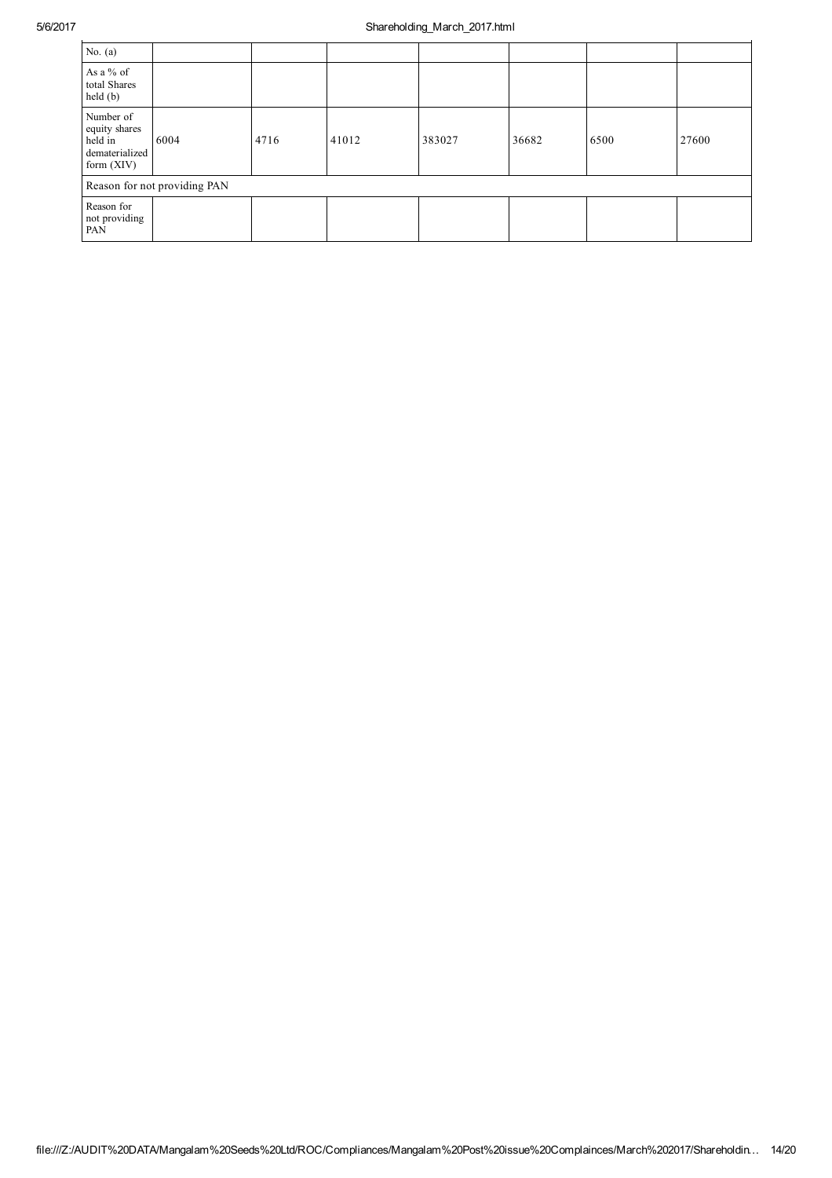| No. $(a)$                                                               |      |      |       |        |       |      |       |  |
|-------------------------------------------------------------------------|------|------|-------|--------|-------|------|-------|--|
| As a % of<br>total Shares<br>held(b)                                    |      |      |       |        |       |      |       |  |
| Number of<br>equity shares<br>held in<br>dematerialized<br>form $(XIV)$ | 6004 | 4716 | 41012 | 383027 | 36682 | 6500 | 27600 |  |
| Reason for not providing PAN                                            |      |      |       |        |       |      |       |  |
| Reason for<br>not providing<br>PAN                                      |      |      |       |        |       |      |       |  |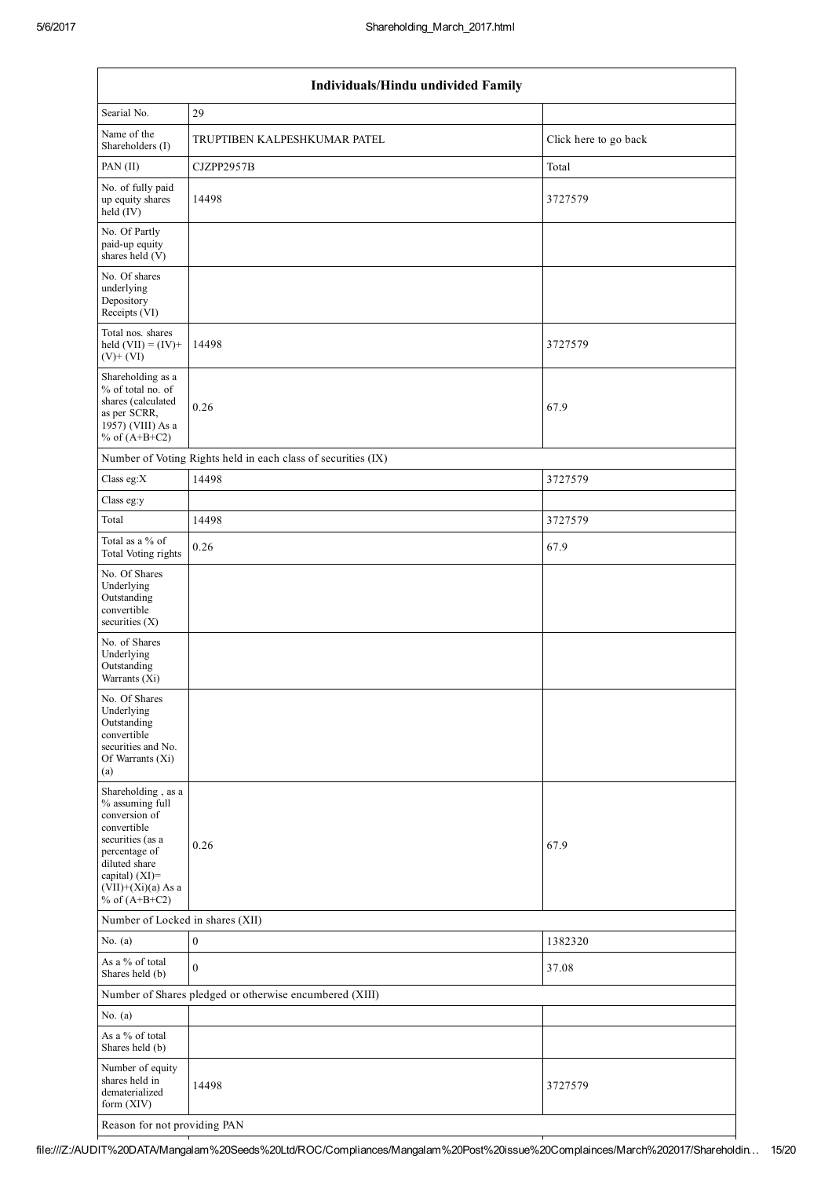| Individuals/Hindu undivided Family                                                                                                                                                          |                                                               |                       |  |  |  |  |  |  |
|---------------------------------------------------------------------------------------------------------------------------------------------------------------------------------------------|---------------------------------------------------------------|-----------------------|--|--|--|--|--|--|
| Searial No.                                                                                                                                                                                 | 29                                                            |                       |  |  |  |  |  |  |
| Name of the<br>Shareholders (I)                                                                                                                                                             | TRUPTIBEN KALPESHKUMAR PATEL                                  | Click here to go back |  |  |  |  |  |  |
| PAN (II)                                                                                                                                                                                    | CJZPP2957B                                                    | Total                 |  |  |  |  |  |  |
| No. of fully paid<br>up equity shares<br>held (IV)                                                                                                                                          | 14498                                                         | 3727579               |  |  |  |  |  |  |
| No. Of Partly<br>paid-up equity<br>shares held $(V)$                                                                                                                                        |                                                               |                       |  |  |  |  |  |  |
| No. Of shares<br>underlying<br>Depository<br>Receipts (VI)                                                                                                                                  |                                                               |                       |  |  |  |  |  |  |
| Total nos. shares<br>held $(VII) = (IV) +$<br>$(V)$ + $(VI)$                                                                                                                                | 14498                                                         | 3727579               |  |  |  |  |  |  |
| Shareholding as a<br>% of total no. of<br>shares (calculated<br>as per SCRR,<br>1957) (VIII) As a<br>% of $(A+B+C2)$                                                                        | 0.26                                                          | 67.9                  |  |  |  |  |  |  |
|                                                                                                                                                                                             | Number of Voting Rights held in each class of securities (IX) |                       |  |  |  |  |  |  |
| Class eg:X                                                                                                                                                                                  | 14498                                                         | 3727579               |  |  |  |  |  |  |
| Class eg:y                                                                                                                                                                                  |                                                               |                       |  |  |  |  |  |  |
| Total                                                                                                                                                                                       | 14498                                                         | 3727579               |  |  |  |  |  |  |
| Total as a % of<br>Total Voting rights                                                                                                                                                      | 0.26                                                          | 67.9                  |  |  |  |  |  |  |
| No. Of Shares<br>Underlying<br>Outstanding<br>convertible<br>securities $(X)$                                                                                                               |                                                               |                       |  |  |  |  |  |  |
| No. of Shares<br>Underlying<br>Outstanding<br>Warrants (Xi)                                                                                                                                 |                                                               |                       |  |  |  |  |  |  |
| No. Of Shares<br>Underlying<br>Outstanding<br>convertible<br>securities and No.<br>Of Warrants (Xi)<br>(a)                                                                                  |                                                               |                       |  |  |  |  |  |  |
| Shareholding, as a<br>% assuming full<br>conversion of<br>convertible<br>securities (as a<br>percentage of<br>diluted share<br>capital) $(XI)$ =<br>$(VII)+(Xi)(a)$ As a<br>% of $(A+B+C2)$ | 0.26                                                          | 67.9                  |  |  |  |  |  |  |
| Number of Locked in shares (XII)                                                                                                                                                            |                                                               |                       |  |  |  |  |  |  |
| No. $(a)$                                                                                                                                                                                   | $\boldsymbol{0}$                                              | 1382320               |  |  |  |  |  |  |
| As a % of total<br>Shares held (b)                                                                                                                                                          | $\mathbf{0}$                                                  | 37.08                 |  |  |  |  |  |  |
|                                                                                                                                                                                             | Number of Shares pledged or otherwise encumbered (XIII)       |                       |  |  |  |  |  |  |
| No. $(a)$                                                                                                                                                                                   |                                                               |                       |  |  |  |  |  |  |
| As a % of total<br>Shares held (b)                                                                                                                                                          |                                                               |                       |  |  |  |  |  |  |
| Number of equity<br>shares held in<br>dematerialized<br>form (XIV)                                                                                                                          | 14498                                                         | 3727579               |  |  |  |  |  |  |
| Reason for not providing PAN                                                                                                                                                                |                                                               |                       |  |  |  |  |  |  |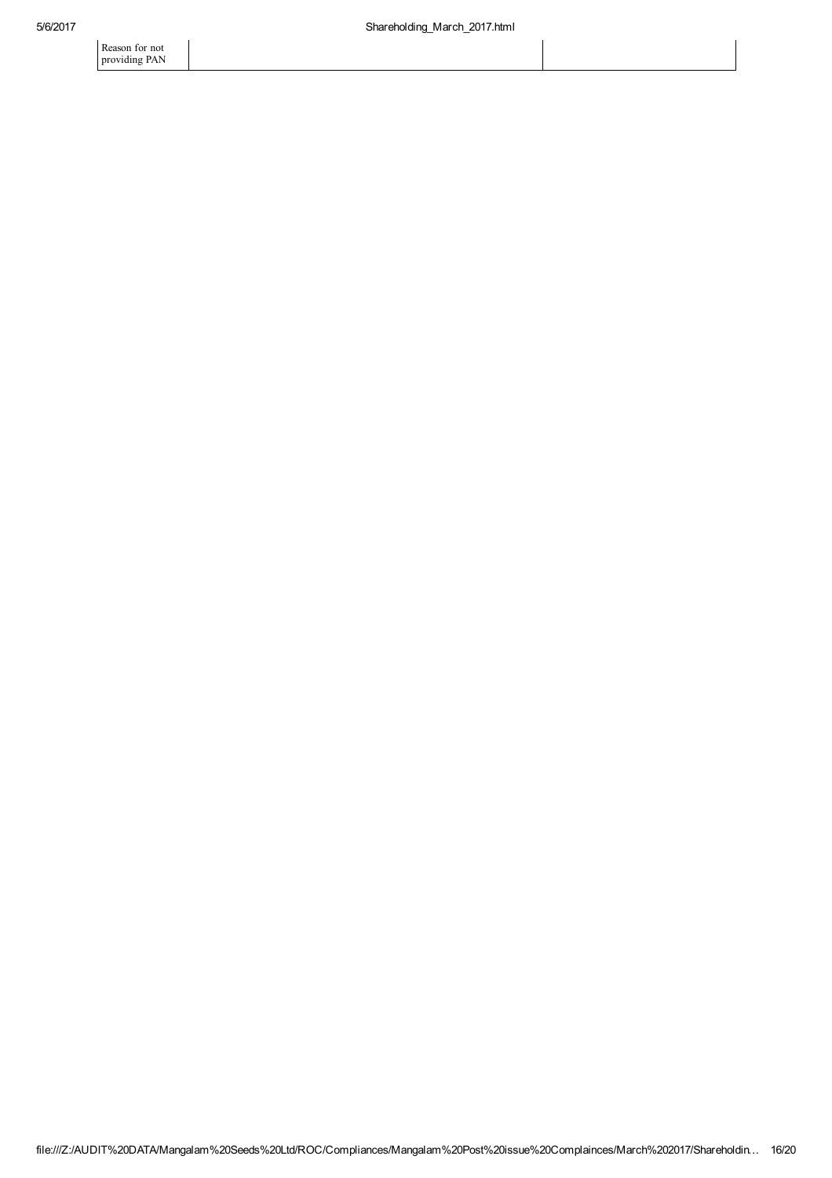Reason for not providing PAN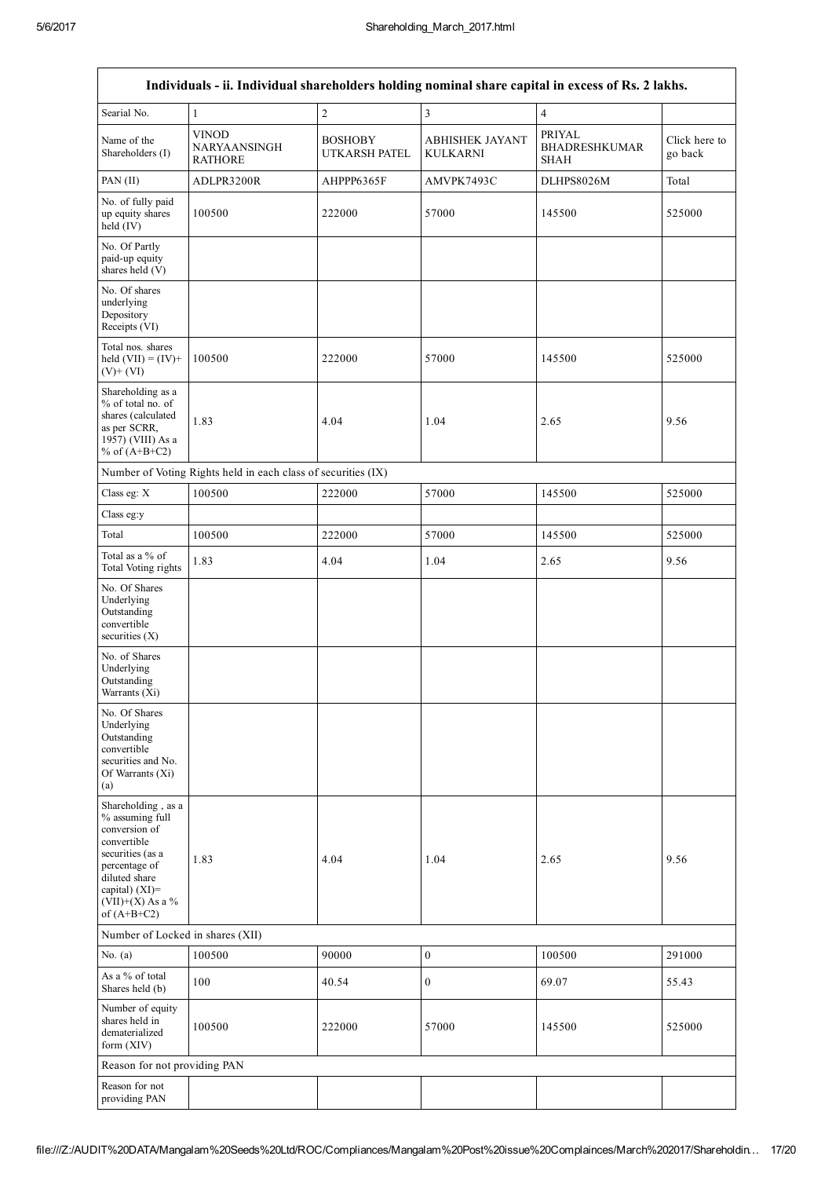٦

|                                                                                                                                                                                         | Individuals - ii. Individual shareholders holding nominal share capital in excess of Rs. 2 lakhs. |                                 |                                    |                                               |                          |
|-----------------------------------------------------------------------------------------------------------------------------------------------------------------------------------------|---------------------------------------------------------------------------------------------------|---------------------------------|------------------------------------|-----------------------------------------------|--------------------------|
| Searial No.                                                                                                                                                                             | 1                                                                                                 | $\overline{c}$                  | 3                                  | $\overline{4}$                                |                          |
| Name of the<br>Shareholders (I)                                                                                                                                                         | <b>VINOD</b><br>NARYAANSINGH<br><b>RATHORE</b>                                                    | <b>BOSHOBY</b><br>UTKARSH PATEL | <b>ABHISHEK JAYANT</b><br>KULKARNI | PRIYAL<br><b>BHADRESHKUMAR</b><br><b>SHAH</b> | Click here to<br>go back |
| PAN (II)                                                                                                                                                                                | ADLPR3200R                                                                                        | AHPPP6365F                      | AMVPK7493C                         | DLHPS8026M                                    | Total                    |
| No. of fully paid<br>up equity shares<br>held (IV)                                                                                                                                      | 100500                                                                                            | 222000                          | 57000                              | 145500                                        | 525000                   |
| No. Of Partly<br>paid-up equity<br>shares held (V)                                                                                                                                      |                                                                                                   |                                 |                                    |                                               |                          |
| No. Of shares<br>underlying<br>Depository<br>Receipts (VI)                                                                                                                              |                                                                                                   |                                 |                                    |                                               |                          |
| Total nos. shares<br>held $(VII) = (IV) +$<br>$(V)+(VI)$                                                                                                                                | 100500                                                                                            | 222000                          | 57000                              | 145500                                        | 525000                   |
| Shareholding as a<br>% of total no. of<br>shares (calculated<br>as per SCRR,<br>1957) (VIII) As a<br>% of $(A+B+C2)$                                                                    | 1.83                                                                                              | 4.04                            | 1.04                               | 2.65                                          | 9.56                     |
|                                                                                                                                                                                         | Number of Voting Rights held in each class of securities (IX)                                     |                                 |                                    |                                               |                          |
| Class eg: X                                                                                                                                                                             | 100500                                                                                            | 222000                          | 57000                              | 145500                                        | 525000                   |
| Class eg:y                                                                                                                                                                              |                                                                                                   |                                 |                                    |                                               |                          |
| Total                                                                                                                                                                                   | 100500                                                                                            | 222000                          | 57000                              | 145500                                        | 525000                   |
| Total as a % of<br>Total Voting rights                                                                                                                                                  | 1.83                                                                                              | 4.04                            | 1.04                               | 2.65                                          | 9.56                     |
| No. Of Shares<br>Underlying<br>Outstanding<br>convertible<br>securities $(X)$                                                                                                           |                                                                                                   |                                 |                                    |                                               |                          |
| No. of Shares<br>Underlying<br>Outstanding<br>Warrants (Xi)                                                                                                                             |                                                                                                   |                                 |                                    |                                               |                          |
| No. Of Shares<br>Underlying<br>Outstanding<br>convertible<br>securities and No.<br>Of Warrants (Xi)<br>(a)                                                                              |                                                                                                   |                                 |                                    |                                               |                          |
| Shareholding, as a<br>% assuming full<br>conversion of<br>convertible<br>securities (as a<br>percentage of<br>diluted share<br>capital) $(XI)$ =<br>$(VII)+(X)$ As a %<br>of $(A+B+C2)$ | 1.83                                                                                              | 4.04                            | 1.04                               | 2.65                                          | 9.56                     |
| Number of Locked in shares (XII)                                                                                                                                                        |                                                                                                   |                                 |                                    |                                               |                          |
| No. $(a)$                                                                                                                                                                               | 100500                                                                                            | 90000                           | $\boldsymbol{0}$                   | 100500                                        | 291000                   |
| As a % of total<br>Shares held (b)                                                                                                                                                      | 100                                                                                               | 40.54                           | $\boldsymbol{0}$                   | 69.07                                         | 55.43                    |
| Number of equity<br>shares held in<br>dematerialized<br>form (XIV)                                                                                                                      | 100500                                                                                            | 222000                          | 57000                              | 145500                                        | 525000                   |
| Reason for not providing PAN                                                                                                                                                            |                                                                                                   |                                 |                                    |                                               |                          |
| Reason for not<br>providing PAN                                                                                                                                                         |                                                                                                   |                                 |                                    |                                               |                          |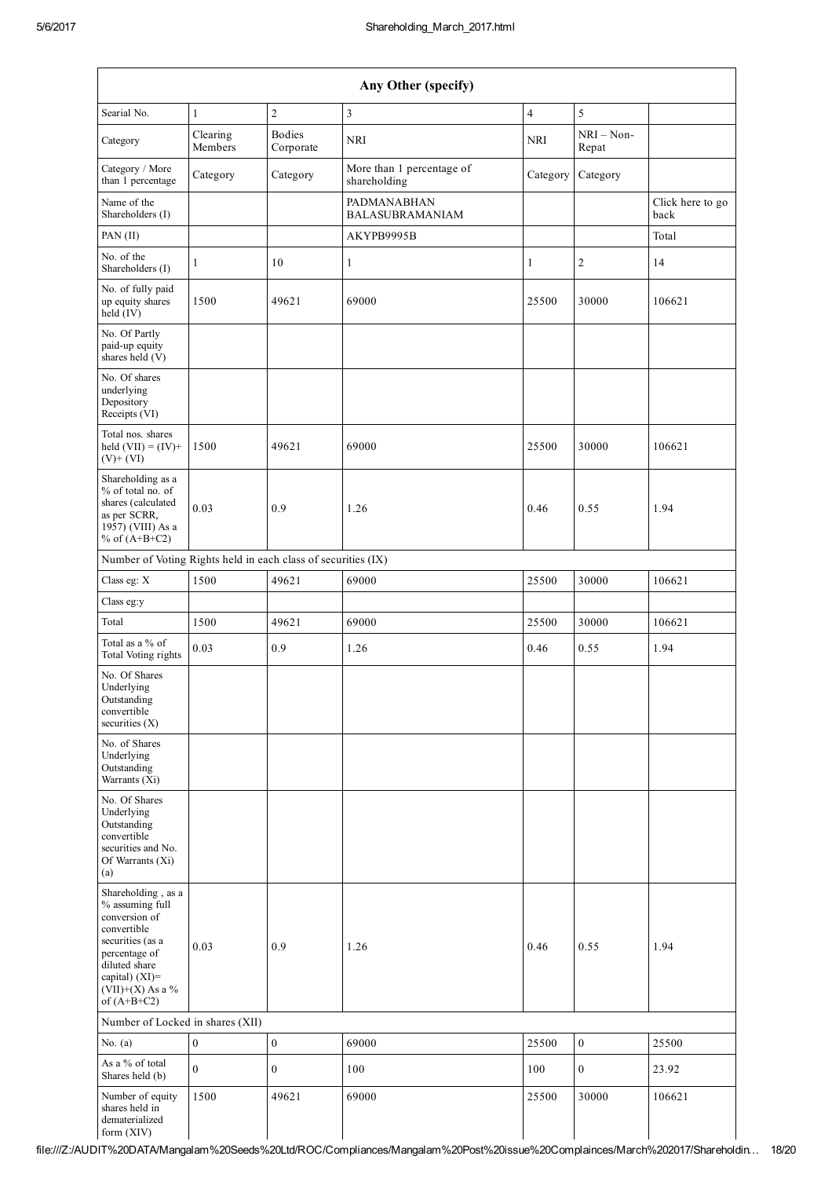| Any Other (specify)                                                                                                                                                                     |                     |                            |                                           |                |                       |                          |  |  |
|-----------------------------------------------------------------------------------------------------------------------------------------------------------------------------------------|---------------------|----------------------------|-------------------------------------------|----------------|-----------------------|--------------------------|--|--|
| Searial No.                                                                                                                                                                             | 1                   | $\overline{2}$             | 3                                         | $\overline{4}$ | 5                     |                          |  |  |
| Category                                                                                                                                                                                | Clearing<br>Members | <b>Bodies</b><br>Corporate | <b>NRI</b>                                | NRI            | $NRI - Non-$<br>Repat |                          |  |  |
| Category / More<br>than 1 percentage                                                                                                                                                    | Category            | Category                   | More than 1 percentage of<br>shareholding | Category       | Category              |                          |  |  |
| Name of the<br>Shareholders (I)                                                                                                                                                         |                     |                            | PADMANABHAN<br><b>BALASUBRAMANIAM</b>     |                |                       | Click here to go<br>back |  |  |
| PAN (II)                                                                                                                                                                                |                     |                            | AKYPB9995B                                |                |                       | Total                    |  |  |
| No. of the<br>Shareholders (I)                                                                                                                                                          | 1                   | 10                         | $\mathbf{1}$                              | $\mathbf{1}$   | $\overline{c}$        | 14                       |  |  |
| No. of fully paid<br>up equity shares<br>held (IV)                                                                                                                                      | 1500                | 49621                      | 69000                                     | 25500          | 30000                 | 106621                   |  |  |
| No. Of Partly<br>paid-up equity<br>shares held (V)                                                                                                                                      |                     |                            |                                           |                |                       |                          |  |  |
| No. Of shares<br>underlying<br>Depository<br>Receipts (VI)                                                                                                                              |                     |                            |                                           |                |                       |                          |  |  |
| Total nos. shares<br>held $(VII) = (IV) +$<br>$(V)$ + $(VI)$                                                                                                                            | 1500                | 49621                      | 69000                                     | 25500          | 30000                 | 106621                   |  |  |
| Shareholding as a<br>% of total no. of<br>shares (calculated<br>as per SCRR,<br>1957) (VIII) As a<br>% of $(A+B+C2)$                                                                    | 0.03                | 0.9                        | 1.26                                      | 0.46           | 0.55                  | 1.94                     |  |  |
| Number of Voting Rights held in each class of securities (IX)                                                                                                                           |                     |                            |                                           |                |                       |                          |  |  |
| Class eg: X                                                                                                                                                                             | 1500                | 49621                      | 69000                                     | 25500          | 30000                 | 106621                   |  |  |
| Class eg:y                                                                                                                                                                              |                     |                            |                                           |                |                       |                          |  |  |
| Total                                                                                                                                                                                   | 1500                | 49621                      | 69000                                     | 25500          | 30000                 | 106621                   |  |  |
| Total as a $\%$ of<br>Total Voting rights                                                                                                                                               | 0.03                | 0.9                        | 1.26                                      | 0.46           | 0.55                  | 1.94                     |  |  |
| No. Of Shares<br>Underlying<br>Outstanding<br>convertible<br>securities $(X)$                                                                                                           |                     |                            |                                           |                |                       |                          |  |  |
| No. of Shares<br>Underlying<br>Outstanding<br>Warrants (Xi)                                                                                                                             |                     |                            |                                           |                |                       |                          |  |  |
| No. Of Shares<br>Underlying<br>Outstanding<br>convertible<br>securities and No.<br>Of Warrants (Xi)<br>(a)                                                                              |                     |                            |                                           |                |                       |                          |  |  |
| Shareholding, as a<br>% assuming full<br>conversion of<br>convertible<br>securities (as a<br>percentage of<br>diluted share<br>capital) $(XI)$ =<br>$(VII)+(X)$ As a %<br>of $(A+B+C2)$ | 0.03                | 0.9                        | 1.26                                      | 0.46           | 0.55                  | 1.94                     |  |  |
| Number of Locked in shares (XII)                                                                                                                                                        |                     |                            |                                           |                |                       |                          |  |  |
| No. $(a)$                                                                                                                                                                               | $\boldsymbol{0}$    | $\boldsymbol{0}$           | 69000                                     | 25500          | $\boldsymbol{0}$      | 25500                    |  |  |
| As a % of total<br>Shares held (b)                                                                                                                                                      | $\overline{0}$      | $\boldsymbol{0}$           | 100                                       | 100            | $\boldsymbol{0}$      | 23.92                    |  |  |
| Number of equity<br>shares held in<br>dematerialized<br>form (XIV)                                                                                                                      | 1500                | 49621                      | 69000                                     | 25500          | 30000                 | 106621                   |  |  |